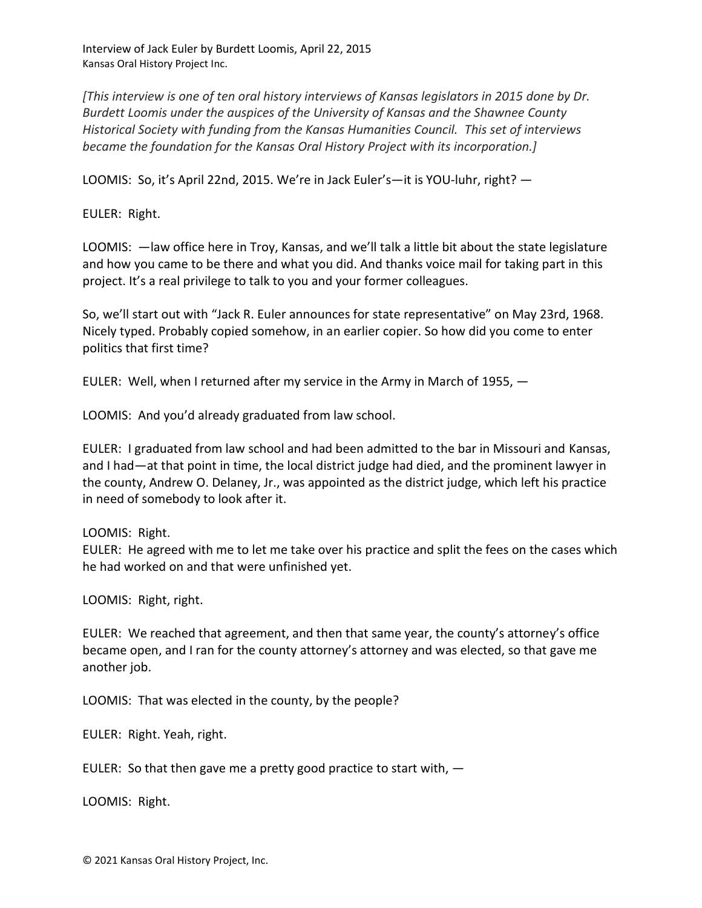Interview of Jack Euler by Burdett Loomis, April 22, 2015 Kansas Oral History Project Inc.

*[This interview is one of ten oral history interviews of Kansas legislators in 2015 done by Dr. Burdett Loomis under the auspices of the University of Kansas and the Shawnee County Historical Society with funding from the Kansas Humanities Council. This set of interviews became the foundation for the Kansas Oral History Project with its incorporation.]*

LOOMIS: So, it's April 22nd, 2015. We're in Jack Euler's—it is YOU-luhr, right? —

EULER: Right.

LOOMIS: —law office here in Troy, Kansas, and we'll talk a little bit about the state legislature and how you came to be there and what you did. And thanks voice mail for taking part in this project. It's a real privilege to talk to you and your former colleagues.

So, we'll start out with "Jack R. Euler announces for state representative" on May 23rd, 1968. Nicely typed. Probably copied somehow, in an earlier copier. So how did you come to enter politics that first time?

EULER: Well, when I returned after my service in the Army in March of 1955,  $-$ 

LOOMIS: And you'd already graduated from law school.

EULER: I graduated from law school and had been admitted to the bar in Missouri and Kansas, and I had—at that point in time, the local district judge had died, and the prominent lawyer in the county, Andrew O. Delaney, Jr., was appointed as the district judge, which left his practice in need of somebody to look after it.

LOOMIS: Right.

EULER: He agreed with me to let me take over his practice and split the fees on the cases which he had worked on and that were unfinished yet.

LOOMIS: Right, right.

EULER: We reached that agreement, and then that same year, the county's attorney's office became open, and I ran for the county attorney's attorney and was elected, so that gave me another job.

LOOMIS: That was elected in the county, by the people?

EULER: Right. Yeah, right.

EULER: So that then gave me a pretty good practice to start with,  $-$ 

LOOMIS: Right.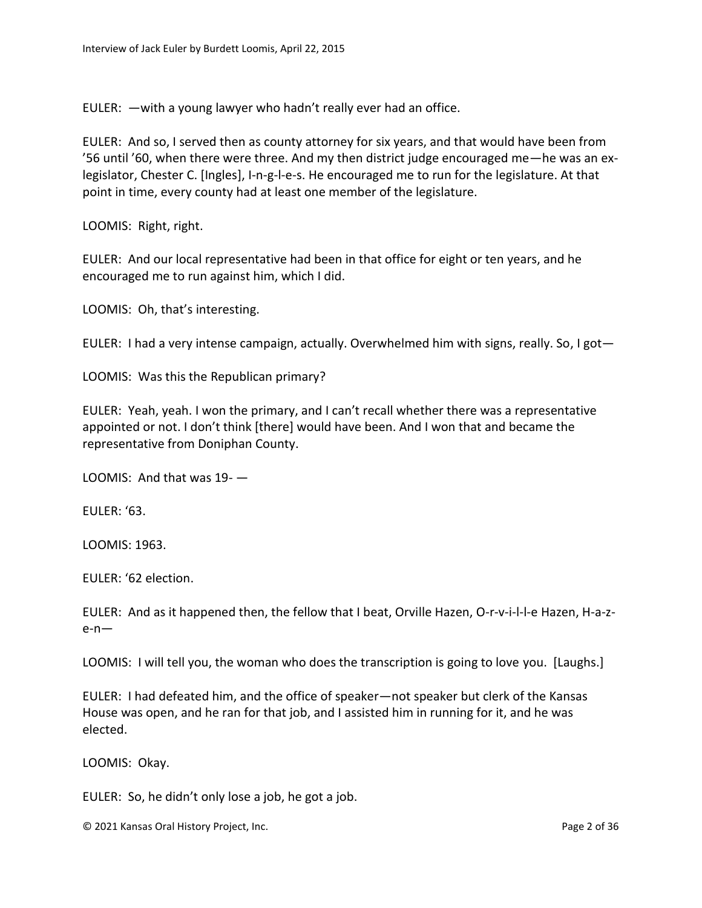EULER: —with a young lawyer who hadn't really ever had an office.

EULER: And so, I served then as county attorney for six years, and that would have been from '56 until '60, when there were three. And my then district judge encouraged me—he was an exlegislator, Chester C. [Ingles], I-n-g-l-e-s. He encouraged me to run for the legislature. At that point in time, every county had at least one member of the legislature.

LOOMIS: Right, right.

EULER: And our local representative had been in that office for eight or ten years, and he encouraged me to run against him, which I did.

LOOMIS: Oh, that's interesting.

EULER: I had a very intense campaign, actually. Overwhelmed him with signs, really. So, I got—

LOOMIS: Was this the Republican primary?

EULER: Yeah, yeah. I won the primary, and I can't recall whether there was a representative appointed or not. I don't think [there] would have been. And I won that and became the representative from Doniphan County.

LOOMIS: And that was 19- —

EULER: '63.

LOOMIS: 1963.

EULER: '62 election.

EULER: And as it happened then, the fellow that I beat, Orville Hazen, O-r-v-i-l-l-e Hazen, H-a-ze-n—

LOOMIS: I will tell you, the woman who does the transcription is going to love you. [Laughs.]

EULER: I had defeated him, and the office of speaker—not speaker but clerk of the Kansas House was open, and he ran for that job, and I assisted him in running for it, and he was elected.

LOOMIS: Okay.

EULER: So, he didn't only lose a job, he got a job.

© 2021 Kansas Oral History Project, Inc. Page 2 of 36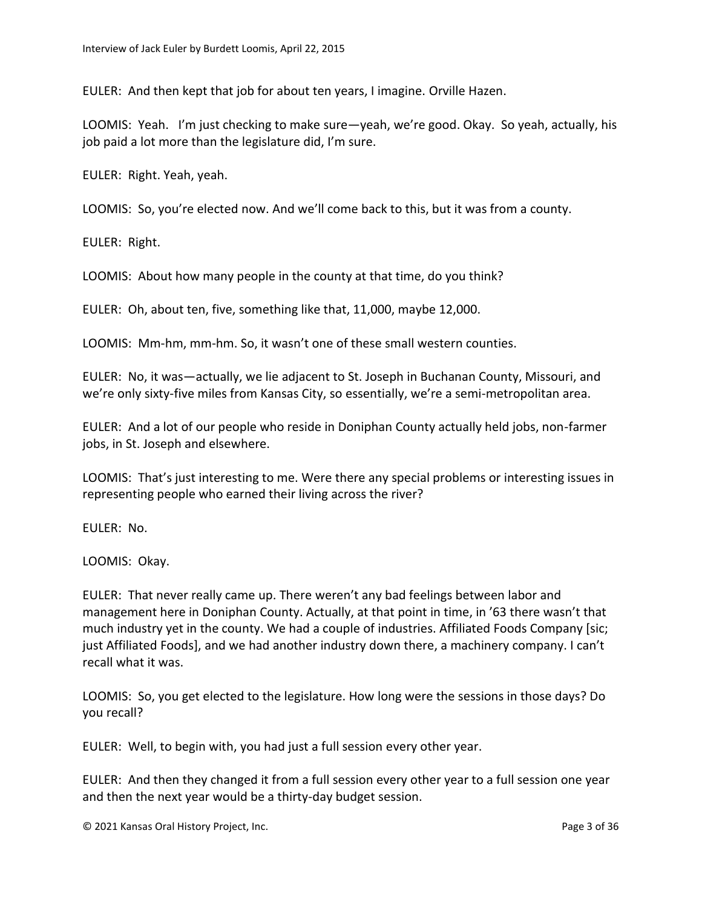EULER: And then kept that job for about ten years, I imagine. Orville Hazen.

LOOMIS: Yeah. I'm just checking to make sure—yeah, we're good. Okay. So yeah, actually, his job paid a lot more than the legislature did, I'm sure.

EULER: Right. Yeah, yeah.

LOOMIS: So, you're elected now. And we'll come back to this, but it was from a county.

EULER: Right.

LOOMIS: About how many people in the county at that time, do you think?

EULER: Oh, about ten, five, something like that, 11,000, maybe 12,000.

LOOMIS: Mm-hm, mm-hm. So, it wasn't one of these small western counties.

EULER: No, it was—actually, we lie adjacent to St. Joseph in Buchanan County, Missouri, and we're only sixty-five miles from Kansas City, so essentially, we're a semi-metropolitan area.

EULER: And a lot of our people who reside in Doniphan County actually held jobs, non-farmer jobs, in St. Joseph and elsewhere.

LOOMIS: That's just interesting to me. Were there any special problems or interesting issues in representing people who earned their living across the river?

EULER: No.

LOOMIS: Okay.

EULER: That never really came up. There weren't any bad feelings between labor and management here in Doniphan County. Actually, at that point in time, in '63 there wasn't that much industry yet in the county. We had a couple of industries. Affiliated Foods Company [sic; just Affiliated Foods], and we had another industry down there, a machinery company. I can't recall what it was.

LOOMIS: So, you get elected to the legislature. How long were the sessions in those days? Do you recall?

EULER: Well, to begin with, you had just a full session every other year.

EULER: And then they changed it from a full session every other year to a full session one year and then the next year would be a thirty-day budget session.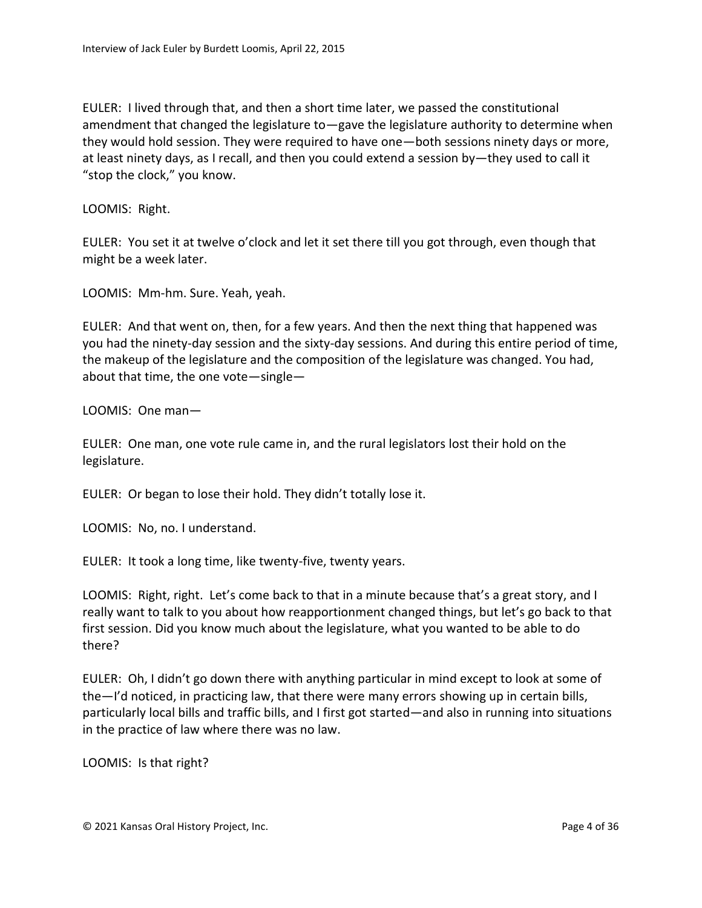EULER: I lived through that, and then a short time later, we passed the constitutional amendment that changed the legislature to—gave the legislature authority to determine when they would hold session. They were required to have one—both sessions ninety days or more, at least ninety days, as I recall, and then you could extend a session by—they used to call it "stop the clock," you know.

LOOMIS: Right.

EULER: You set it at twelve o'clock and let it set there till you got through, even though that might be a week later.

LOOMIS: Mm-hm. Sure. Yeah, yeah.

EULER: And that went on, then, for a few years. And then the next thing that happened was you had the ninety-day session and the sixty-day sessions. And during this entire period of time, the makeup of the legislature and the composition of the legislature was changed. You had, about that time, the one vote—single—

LOOMIS: One man—

EULER: One man, one vote rule came in, and the rural legislators lost their hold on the legislature.

EULER: Or began to lose their hold. They didn't totally lose it.

LOOMIS: No, no. I understand.

EULER: It took a long time, like twenty-five, twenty years.

LOOMIS: Right, right. Let's come back to that in a minute because that's a great story, and I really want to talk to you about how reapportionment changed things, but let's go back to that first session. Did you know much about the legislature, what you wanted to be able to do there?

EULER: Oh, I didn't go down there with anything particular in mind except to look at some of the—I'd noticed, in practicing law, that there were many errors showing up in certain bills, particularly local bills and traffic bills, and I first got started—and also in running into situations in the practice of law where there was no law.

LOOMIS: Is that right?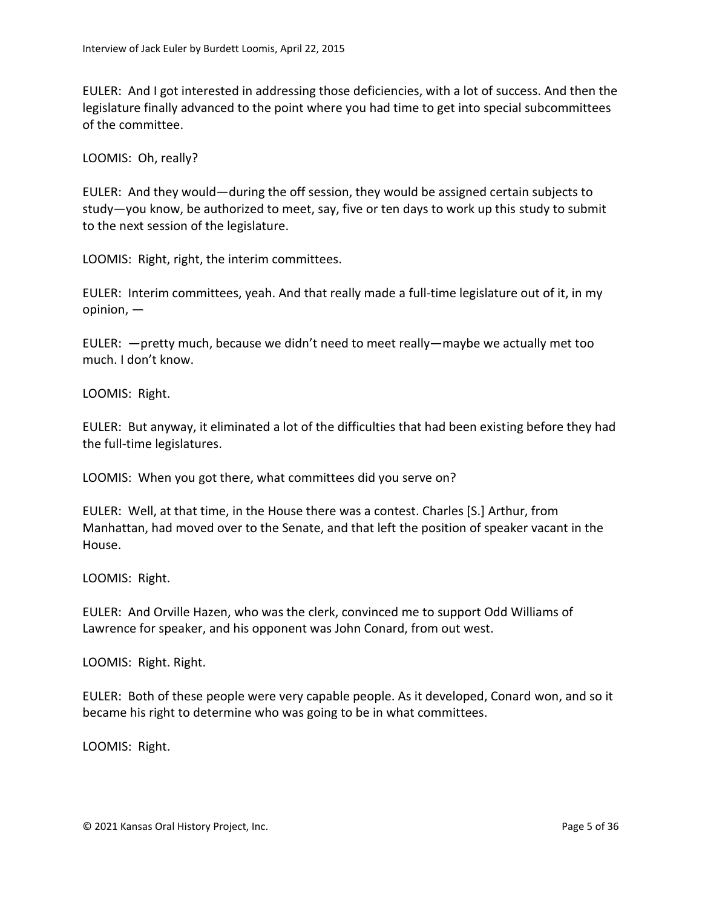EULER: And I got interested in addressing those deficiencies, with a lot of success. And then the legislature finally advanced to the point where you had time to get into special subcommittees of the committee.

LOOMIS: Oh, really?

EULER: And they would—during the off session, they would be assigned certain subjects to study—you know, be authorized to meet, say, five or ten days to work up this study to submit to the next session of the legislature.

LOOMIS: Right, right, the interim committees.

EULER: Interim committees, yeah. And that really made a full-time legislature out of it, in my opinion, —

EULER: —pretty much, because we didn't need to meet really—maybe we actually met too much. I don't know.

LOOMIS: Right.

EULER: But anyway, it eliminated a lot of the difficulties that had been existing before they had the full-time legislatures.

LOOMIS: When you got there, what committees did you serve on?

EULER: Well, at that time, in the House there was a contest. Charles [S.] Arthur, from Manhattan, had moved over to the Senate, and that left the position of speaker vacant in the House.

LOOMIS: Right.

EULER: And Orville Hazen, who was the clerk, convinced me to support Odd Williams of Lawrence for speaker, and his opponent was John Conard, from out west.

LOOMIS: Right. Right.

EULER: Both of these people were very capable people. As it developed, Conard won, and so it became his right to determine who was going to be in what committees.

LOOMIS: Right.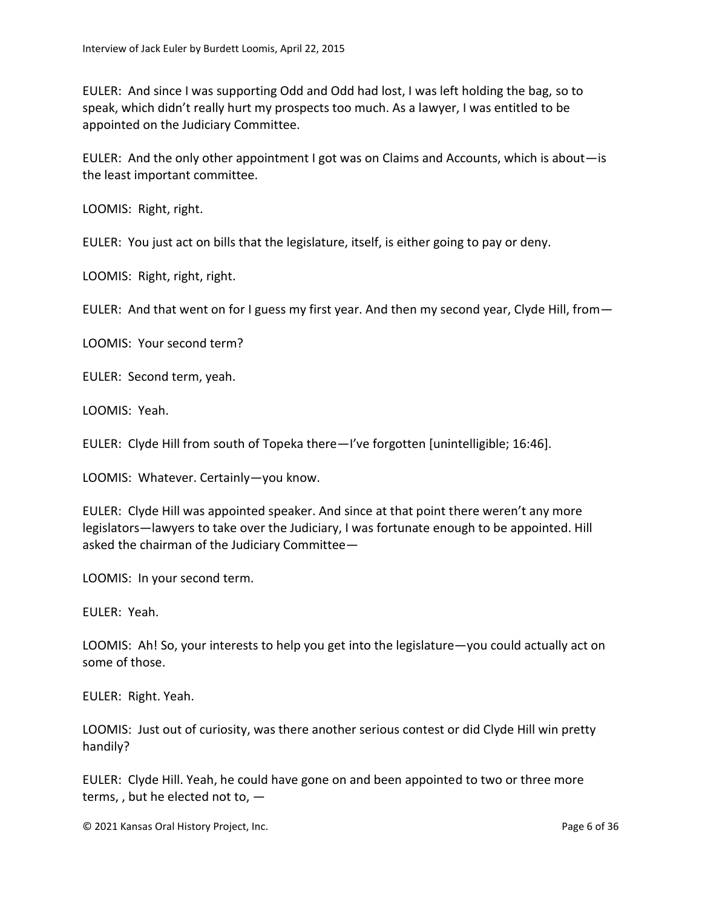EULER: And since I was supporting Odd and Odd had lost, I was left holding the bag, so to speak, which didn't really hurt my prospects too much. As a lawyer, I was entitled to be appointed on the Judiciary Committee.

EULER: And the only other appointment I got was on Claims and Accounts, which is about—is the least important committee.

LOOMIS: Right, right.

EULER: You just act on bills that the legislature, itself, is either going to pay or deny.

LOOMIS: Right, right, right.

EULER: And that went on for I guess my first year. And then my second year, Clyde Hill, from—

LOOMIS: Your second term?

EULER: Second term, yeah.

LOOMIS: Yeah.

EULER: Clyde Hill from south of Topeka there—I've forgotten [unintelligible; 16:46].

LOOMIS: Whatever. Certainly—you know.

EULER: Clyde Hill was appointed speaker. And since at that point there weren't any more legislators—lawyers to take over the Judiciary, I was fortunate enough to be appointed. Hill asked the chairman of the Judiciary Committee—

LOOMIS: In your second term.

EULER: Yeah.

LOOMIS: Ah! So, your interests to help you get into the legislature—you could actually act on some of those.

EULER: Right. Yeah.

LOOMIS: Just out of curiosity, was there another serious contest or did Clyde Hill win pretty handily?

EULER: Clyde Hill. Yeah, he could have gone on and been appointed to two or three more terms, , but he elected not to, —

© 2021 Kansas Oral History Project, Inc. Page 6 of 36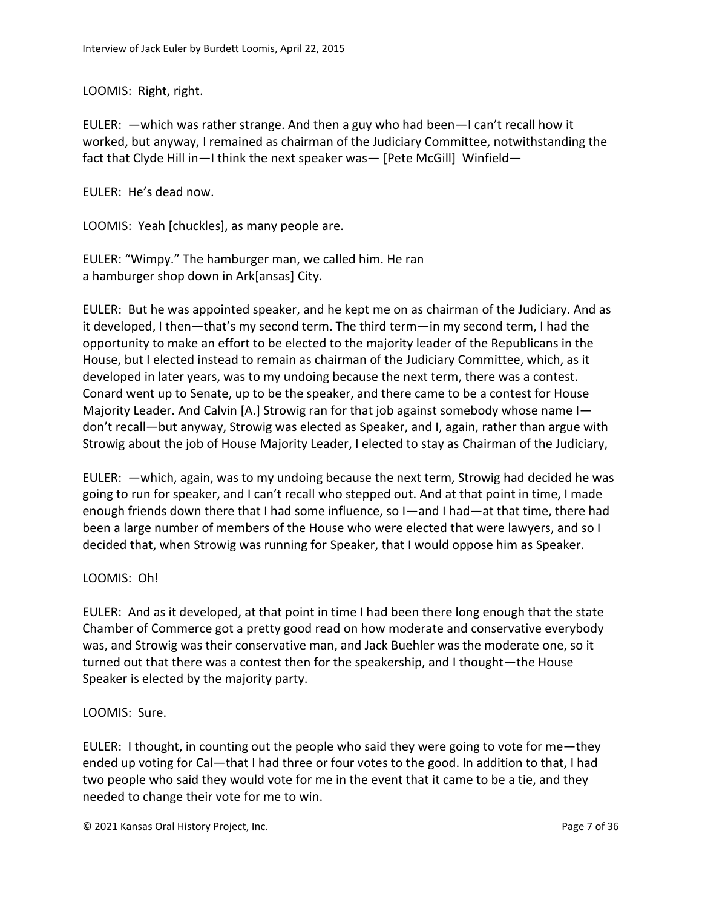LOOMIS: Right, right.

EULER: —which was rather strange. And then a guy who had been—I can't recall how it worked, but anyway, I remained as chairman of the Judiciary Committee, notwithstanding the fact that Clyde Hill in—I think the next speaker was— [Pete McGill] Winfield—

EULER: He's dead now.

LOOMIS: Yeah [chuckles], as many people are.

EULER: "Wimpy." The hamburger man, we called him. He ran a hamburger shop down in Ark[ansas] City.

EULER: But he was appointed speaker, and he kept me on as chairman of the Judiciary. And as it developed, I then—that's my second term. The third term—in my second term, I had the opportunity to make an effort to be elected to the majority leader of the Republicans in the House, but I elected instead to remain as chairman of the Judiciary Committee, which, as it developed in later years, was to my undoing because the next term, there was a contest. Conard went up to Senate, up to be the speaker, and there came to be a contest for House Majority Leader. And Calvin [A.] Strowig ran for that job against somebody whose name I don't recall—but anyway, Strowig was elected as Speaker, and I, again, rather than argue with Strowig about the job of House Majority Leader, I elected to stay as Chairman of the Judiciary,

EULER: —which, again, was to my undoing because the next term, Strowig had decided he was going to run for speaker, and I can't recall who stepped out. And at that point in time, I made enough friends down there that I had some influence, so I—and I had—at that time, there had been a large number of members of the House who were elected that were lawyers, and so I decided that, when Strowig was running for Speaker, that I would oppose him as Speaker.

## LOOMIS: Oh!

EULER: And as it developed, at that point in time I had been there long enough that the state Chamber of Commerce got a pretty good read on how moderate and conservative everybody was, and Strowig was their conservative man, and Jack Buehler was the moderate one, so it turned out that there was a contest then for the speakership, and I thought—the House Speaker is elected by the majority party.

## LOOMIS: Sure.

EULER: I thought, in counting out the people who said they were going to vote for me—they ended up voting for Cal—that I had three or four votes to the good. In addition to that, I had two people who said they would vote for me in the event that it came to be a tie, and they needed to change their vote for me to win.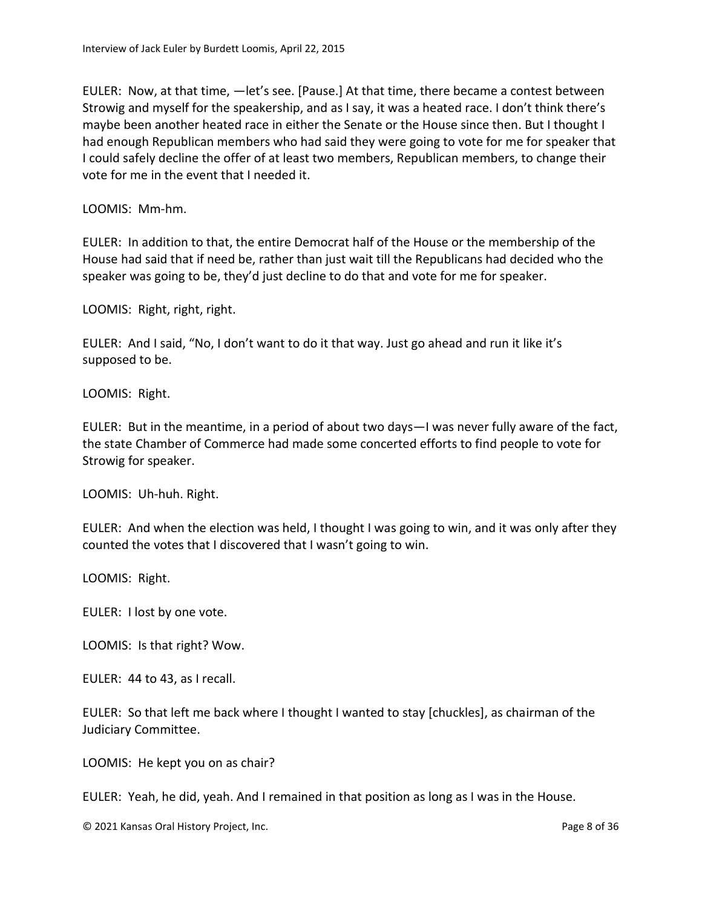EULER: Now, at that time, —let's see. [Pause.] At that time, there became a contest between Strowig and myself for the speakership, and as I say, it was a heated race. I don't think there's maybe been another heated race in either the Senate or the House since then. But I thought I had enough Republican members who had said they were going to vote for me for speaker that I could safely decline the offer of at least two members, Republican members, to change their vote for me in the event that I needed it.

LOOMIS: Mm-hm.

EULER: In addition to that, the entire Democrat half of the House or the membership of the House had said that if need be, rather than just wait till the Republicans had decided who the speaker was going to be, they'd just decline to do that and vote for me for speaker.

LOOMIS: Right, right, right.

EULER: And I said, "No, I don't want to do it that way. Just go ahead and run it like it's supposed to be.

LOOMIS: Right.

EULER: But in the meantime, in a period of about two days—I was never fully aware of the fact, the state Chamber of Commerce had made some concerted efforts to find people to vote for Strowig for speaker.

LOOMIS: Uh-huh. Right.

EULER: And when the election was held, I thought I was going to win, and it was only after they counted the votes that I discovered that I wasn't going to win.

LOOMIS: Right.

EULER: I lost by one vote.

LOOMIS: Is that right? Wow.

EULER: 44 to 43, as I recall.

EULER: So that left me back where I thought I wanted to stay [chuckles], as chairman of the Judiciary Committee.

LOOMIS: He kept you on as chair?

EULER: Yeah, he did, yeah. And I remained in that position as long as I was in the House.

© 2021 Kansas Oral History Project, Inc. Page 8 of 36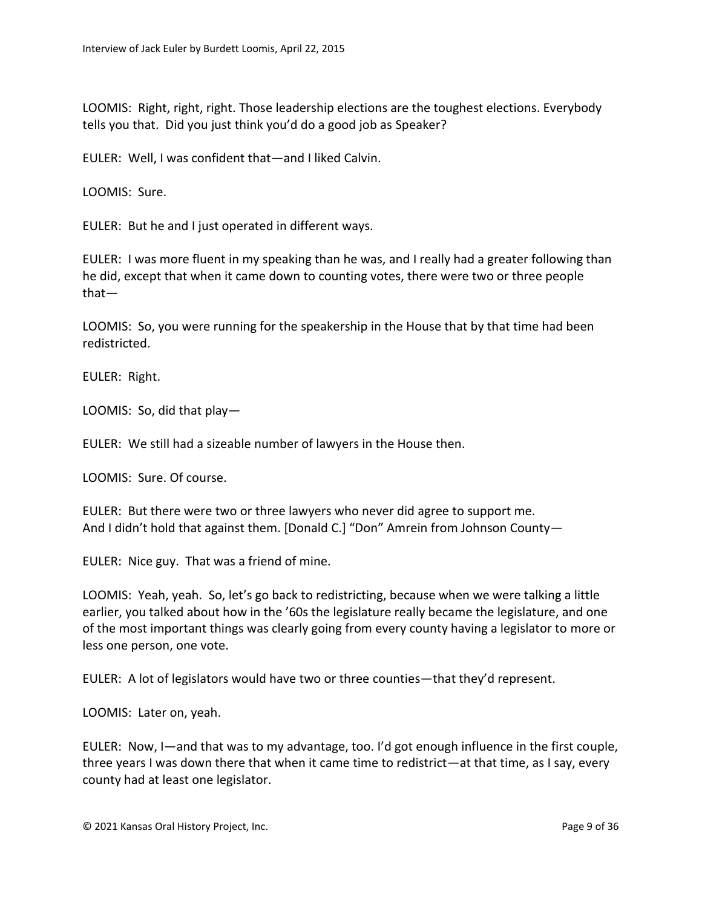LOOMIS: Right, right, right. Those leadership elections are the toughest elections. Everybody tells you that. Did you just think you'd do a good job as Speaker?

EULER: Well, I was confident that—and I liked Calvin.

LOOMIS: Sure.

EULER: But he and I just operated in different ways.

EULER: I was more fluent in my speaking than he was, and I really had a greater following than he did, except that when it came down to counting votes, there were two or three people that—

LOOMIS: So, you were running for the speakership in the House that by that time had been redistricted.

EULER: Right.

LOOMIS: So, did that play—

EULER: We still had a sizeable number of lawyers in the House then.

LOOMIS: Sure. Of course.

EULER: But there were two or three lawyers who never did agree to support me. And I didn't hold that against them. [Donald C.] "Don" Amrein from Johnson County—

EULER: Nice guy. That was a friend of mine.

LOOMIS: Yeah, yeah. So, let's go back to redistricting, because when we were talking a little earlier, you talked about how in the '60s the legislature really became the legislature, and one of the most important things was clearly going from every county having a legislator to more or less one person, one vote.

EULER: A lot of legislators would have two or three counties—that they'd represent.

LOOMIS: Later on, yeah.

EULER: Now, I—and that was to my advantage, too. I'd got enough influence in the first couple, three years I was down there that when it came time to redistrict—at that time, as I say, every county had at least one legislator.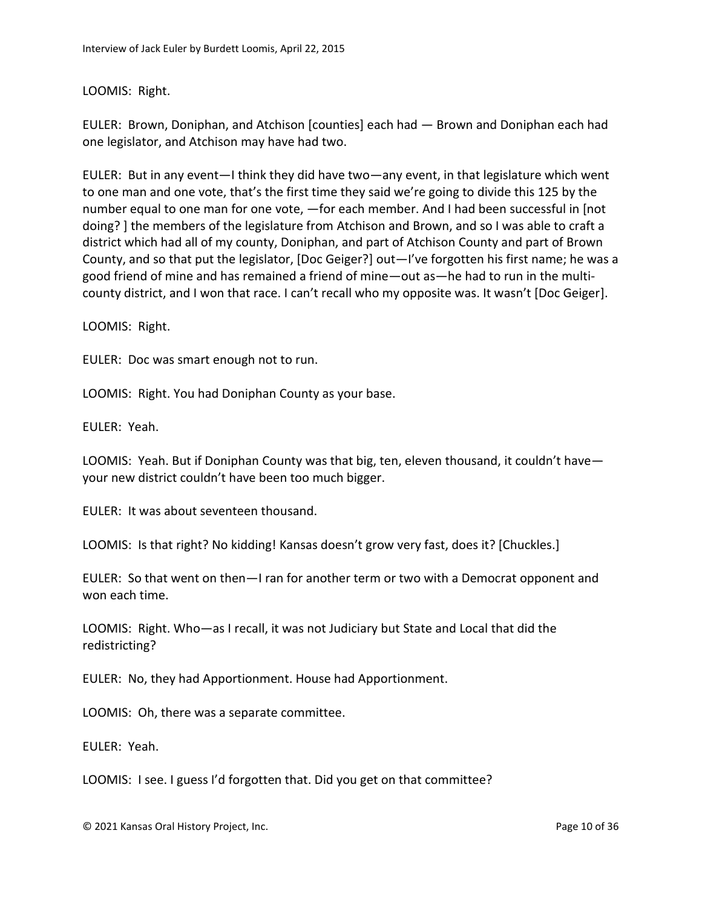## LOOMIS: Right.

EULER: Brown, Doniphan, and Atchison [counties] each had — Brown and Doniphan each had one legislator, and Atchison may have had two.

EULER: But in any event—I think they did have two—any event, in that legislature which went to one man and one vote, that's the first time they said we're going to divide this 125 by the number equal to one man for one vote, —for each member. And I had been successful in [not doing? ] the members of the legislature from Atchison and Brown, and so I was able to craft a district which had all of my county, Doniphan, and part of Atchison County and part of Brown County, and so that put the legislator, [Doc Geiger?] out—I've forgotten his first name; he was a good friend of mine and has remained a friend of mine—out as—he had to run in the multicounty district, and I won that race. I can't recall who my opposite was. It wasn't [Doc Geiger].

LOOMIS: Right.

EULER: Doc was smart enough not to run.

LOOMIS: Right. You had Doniphan County as your base.

EULER: Yeah.

LOOMIS: Yeah. But if Doniphan County was that big, ten, eleven thousand, it couldn't have your new district couldn't have been too much bigger.

EULER: It was about seventeen thousand.

LOOMIS: Is that right? No kidding! Kansas doesn't grow very fast, does it? [Chuckles.]

EULER: So that went on then—I ran for another term or two with a Democrat opponent and won each time.

LOOMIS: Right. Who—as I recall, it was not Judiciary but State and Local that did the redistricting?

EULER: No, they had Apportionment. House had Apportionment.

LOOMIS: Oh, there was a separate committee.

EULER: Yeah.

LOOMIS: I see. I guess I'd forgotten that. Did you get on that committee?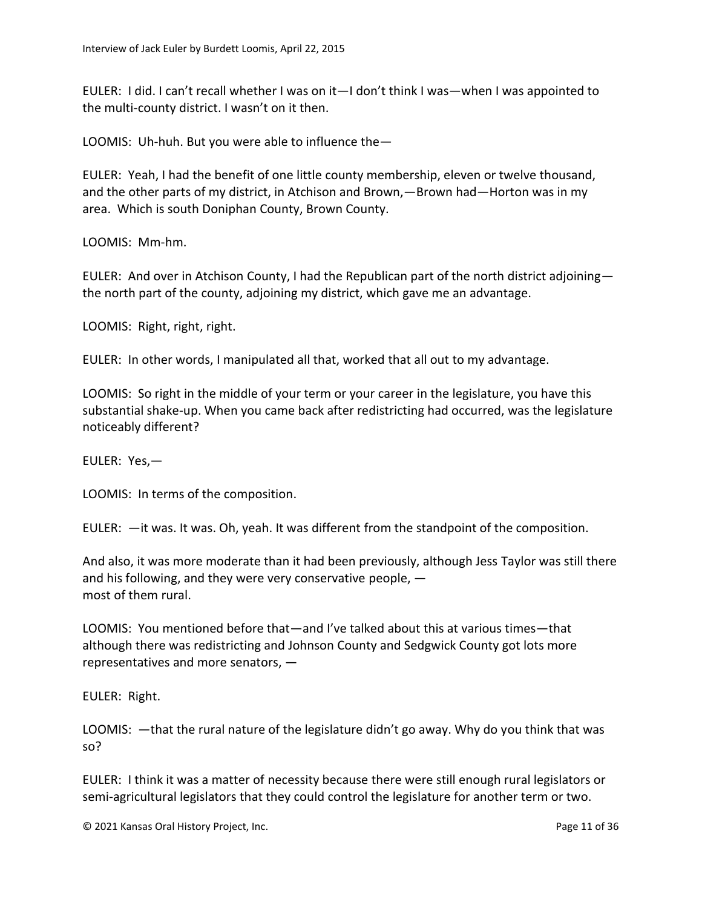EULER: I did. I can't recall whether I was on it—I don't think I was—when I was appointed to the multi-county district. I wasn't on it then.

LOOMIS: Uh-huh. But you were able to influence the—

EULER: Yeah, I had the benefit of one little county membership, eleven or twelve thousand, and the other parts of my district, in Atchison and Brown,—Brown had—Horton was in my area. Which is south Doniphan County, Brown County.

LOOMIS: Mm-hm.

EULER: And over in Atchison County, I had the Republican part of the north district adjoining the north part of the county, adjoining my district, which gave me an advantage.

LOOMIS: Right, right, right.

EULER: In other words, I manipulated all that, worked that all out to my advantage.

LOOMIS: So right in the middle of your term or your career in the legislature, you have this substantial shake-up. When you came back after redistricting had occurred, was the legislature noticeably different?

EULER: Yes,—

LOOMIS: In terms of the composition.

EULER: —it was. It was. Oh, yeah. It was different from the standpoint of the composition.

And also, it was more moderate than it had been previously, although Jess Taylor was still there and his following, and they were very conservative people, most of them rural.

LOOMIS: You mentioned before that—and I've talked about this at various times—that although there was redistricting and Johnson County and Sedgwick County got lots more representatives and more senators, —

EULER: Right.

LOOMIS: —that the rural nature of the legislature didn't go away. Why do you think that was so?

EULER: I think it was a matter of necessity because there were still enough rural legislators or semi-agricultural legislators that they could control the legislature for another term or two.

© 2021 Kansas Oral History Project, Inc. Page 11 of 36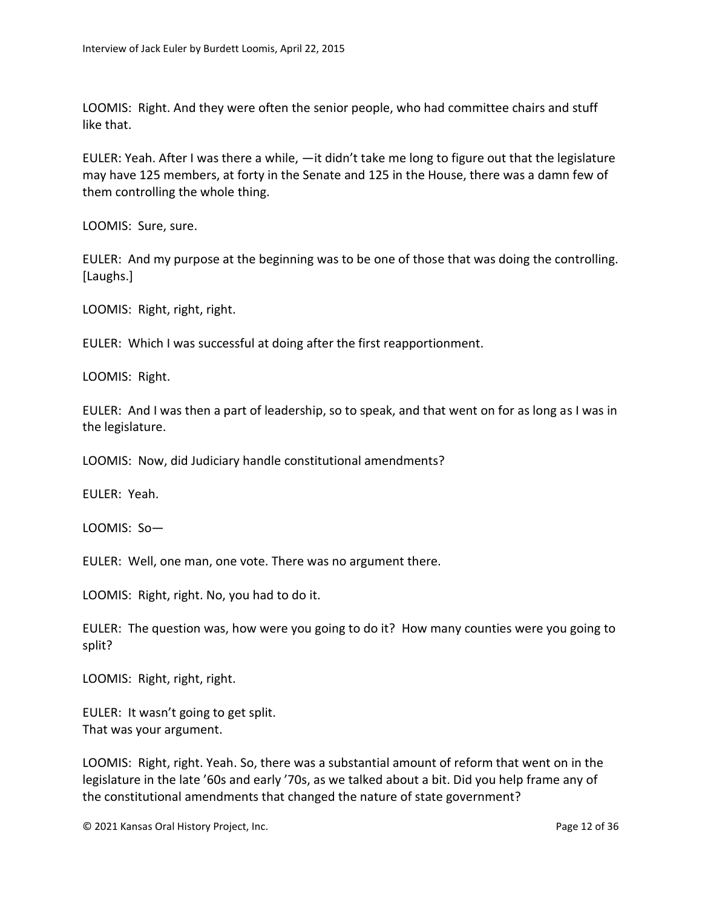LOOMIS: Right. And they were often the senior people, who had committee chairs and stuff like that.

EULER: Yeah. After I was there a while, —it didn't take me long to figure out that the legislature may have 125 members, at forty in the Senate and 125 in the House, there was a damn few of them controlling the whole thing.

LOOMIS: Sure, sure.

EULER: And my purpose at the beginning was to be one of those that was doing the controlling. [Laughs.]

LOOMIS: Right, right, right.

EULER: Which I was successful at doing after the first reapportionment.

LOOMIS: Right.

EULER: And I was then a part of leadership, so to speak, and that went on for as long as I was in the legislature.

LOOMIS: Now, did Judiciary handle constitutional amendments?

EULER: Yeah.

LOOMIS: So—

EULER: Well, one man, one vote. There was no argument there.

LOOMIS: Right, right. No, you had to do it.

EULER: The question was, how were you going to do it? How many counties were you going to split?

LOOMIS: Right, right, right.

EULER: It wasn't going to get split. That was your argument.

LOOMIS: Right, right. Yeah. So, there was a substantial amount of reform that went on in the legislature in the late '60s and early '70s, as we talked about a bit. Did you help frame any of the constitutional amendments that changed the nature of state government?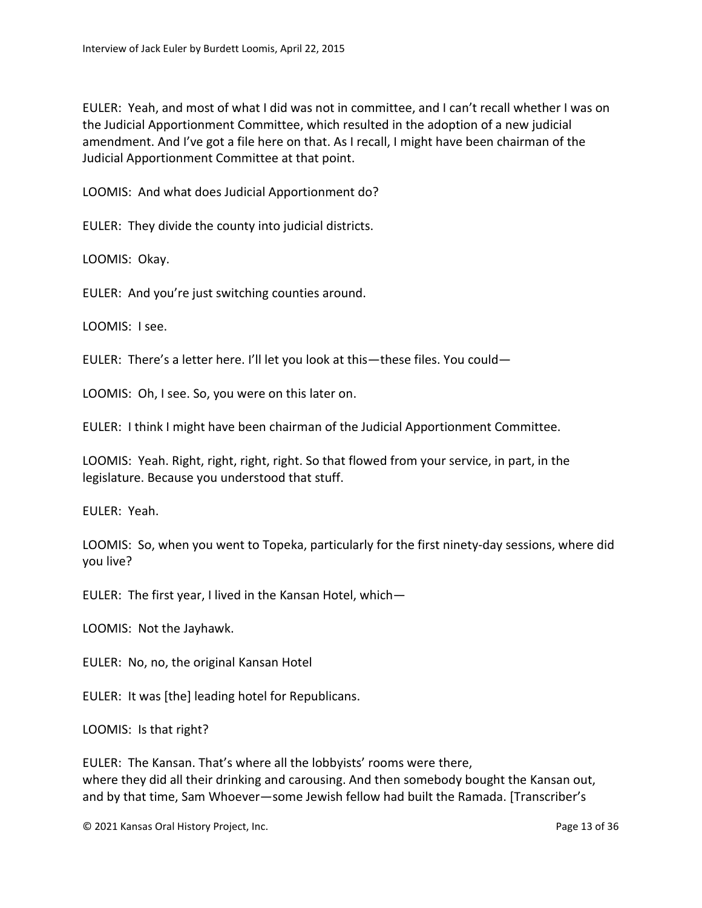EULER: Yeah, and most of what I did was not in committee, and I can't recall whether I was on the Judicial Apportionment Committee, which resulted in the adoption of a new judicial amendment. And I've got a file here on that. As I recall, I might have been chairman of the Judicial Apportionment Committee at that point.

LOOMIS: And what does Judicial Apportionment do?

EULER: They divide the county into judicial districts.

LOOMIS: Okay.

EULER: And you're just switching counties around.

LOOMIS: I see.

EULER: There's a letter here. I'll let you look at this—these files. You could—

LOOMIS: Oh, I see. So, you were on this later on.

EULER: I think I might have been chairman of the Judicial Apportionment Committee.

LOOMIS: Yeah. Right, right, right, right. So that flowed from your service, in part, in the legislature. Because you understood that stuff.

EULER: Yeah.

LOOMIS: So, when you went to Topeka, particularly for the first ninety-day sessions, where did you live?

EULER: The first year, I lived in the Kansan Hotel, which—

LOOMIS: Not the Jayhawk.

EULER: No, no, the original Kansan Hotel

EULER: It was [the] leading hotel for Republicans.

LOOMIS: Is that right?

EULER: The Kansan. That's where all the lobbyists' rooms were there, where they did all their drinking and carousing. And then somebody bought the Kansan out, and by that time, Sam Whoever—some Jewish fellow had built the Ramada. [Transcriber's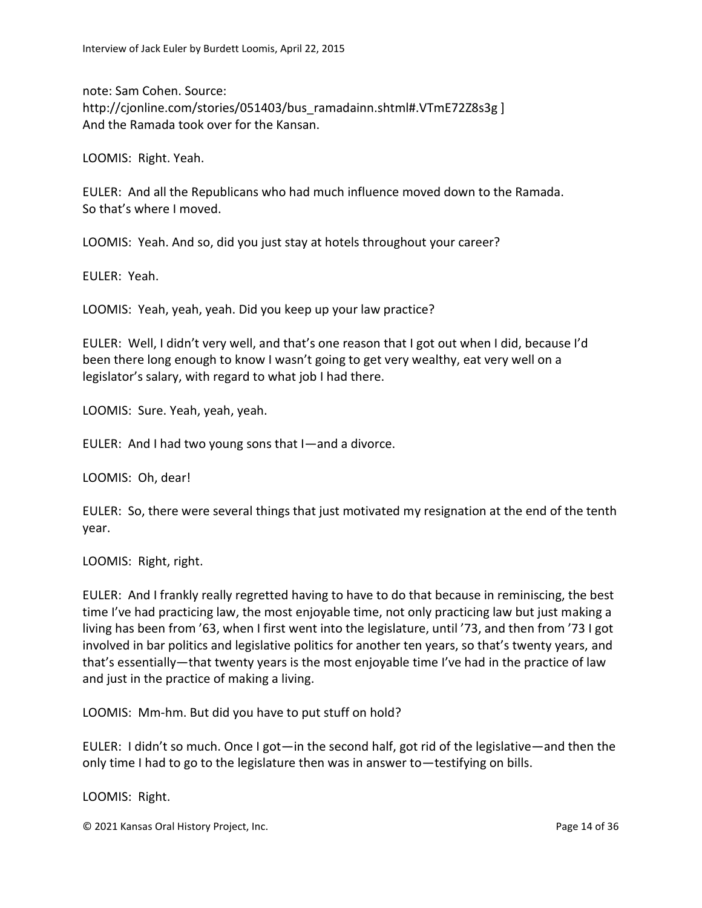note: Sam Cohen. Source: http://cjonline.com/stories/051403/bus\_ramadainn.shtml#.VTmE72Z8s3g ] And the Ramada took over for the Kansan.

LOOMIS: Right. Yeah.

EULER: And all the Republicans who had much influence moved down to the Ramada. So that's where I moved.

LOOMIS: Yeah. And so, did you just stay at hotels throughout your career?

EULER: Yeah.

LOOMIS: Yeah, yeah, yeah. Did you keep up your law practice?

EULER: Well, I didn't very well, and that's one reason that I got out when I did, because I'd been there long enough to know I wasn't going to get very wealthy, eat very well on a legislator's salary, with regard to what job I had there.

LOOMIS: Sure. Yeah, yeah, yeah.

EULER: And I had two young sons that I—and a divorce.

LOOMIS: Oh, dear!

EULER: So, there were several things that just motivated my resignation at the end of the tenth year.

LOOMIS: Right, right.

EULER: And I frankly really regretted having to have to do that because in reminiscing, the best time I've had practicing law, the most enjoyable time, not only practicing law but just making a living has been from '63, when I first went into the legislature, until '73, and then from '73 I got involved in bar politics and legislative politics for another ten years, so that's twenty years, and that's essentially—that twenty years is the most enjoyable time I've had in the practice of law and just in the practice of making a living.

LOOMIS: Mm-hm. But did you have to put stuff on hold?

EULER: I didn't so much. Once I got—in the second half, got rid of the legislative—and then the only time I had to go to the legislature then was in answer to—testifying on bills.

LOOMIS: Right.

© 2021 Kansas Oral History Project, Inc. Page 14 of 36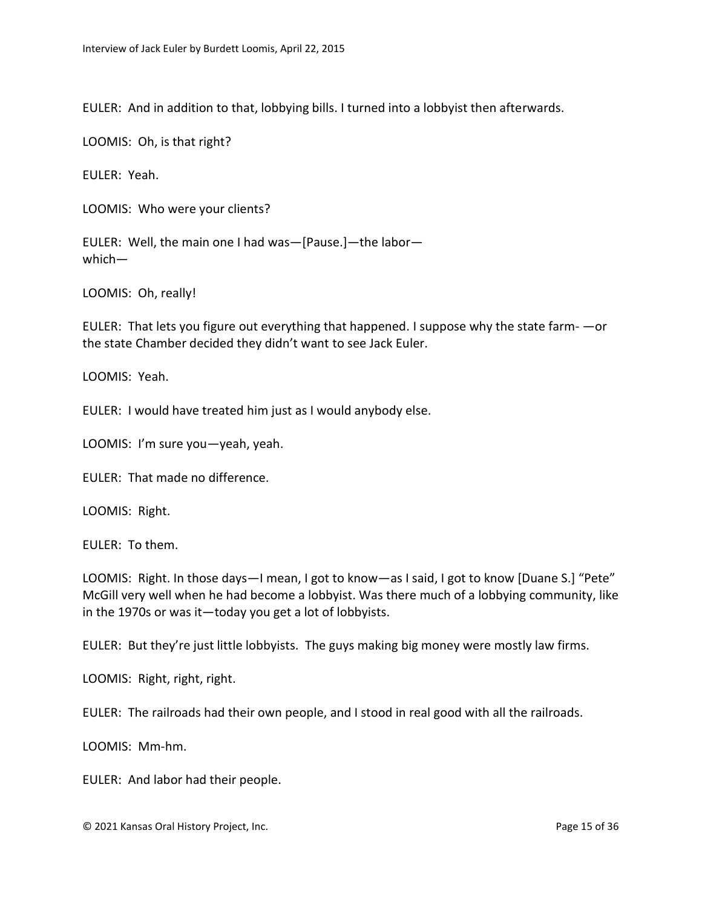EULER: And in addition to that, lobbying bills. I turned into a lobbyist then afterwards.

LOOMIS: Oh, is that right?

EULER: Yeah.

LOOMIS: Who were your clients?

EULER: Well, the main one I had was—[Pause.]—the labor which—

LOOMIS: Oh, really!

EULER: That lets you figure out everything that happened. I suppose why the state farm- —or the state Chamber decided they didn't want to see Jack Euler.

LOOMIS: Yeah.

EULER: I would have treated him just as I would anybody else.

LOOMIS: I'm sure you—yeah, yeah.

EULER: That made no difference.

LOOMIS: Right.

EULER: To them.

LOOMIS: Right. In those days—I mean, I got to know—as I said, I got to know [Duane S.] "Pete" McGill very well when he had become a lobbyist. Was there much of a lobbying community, like in the 1970s or was it—today you get a lot of lobbyists.

EULER: But they're just little lobbyists. The guys making big money were mostly law firms.

LOOMIS: Right, right, right.

EULER: The railroads had their own people, and I stood in real good with all the railroads.

LOOMIS: Mm-hm.

EULER: And labor had their people.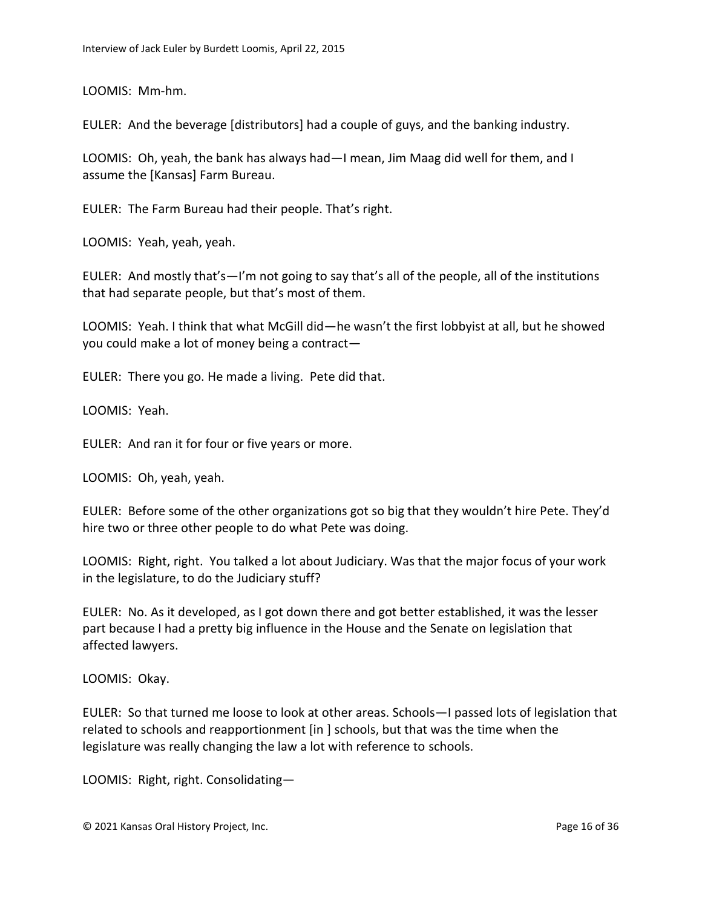LOOMIS: Mm-hm.

EULER: And the beverage [distributors] had a couple of guys, and the banking industry.

LOOMIS: Oh, yeah, the bank has always had—I mean, Jim Maag did well for them, and I assume the [Kansas] Farm Bureau.

EULER: The Farm Bureau had their people. That's right.

LOOMIS: Yeah, yeah, yeah.

EULER: And mostly that's—I'm not going to say that's all of the people, all of the institutions that had separate people, but that's most of them.

LOOMIS: Yeah. I think that what McGill did—he wasn't the first lobbyist at all, but he showed you could make a lot of money being a contract—

EULER: There you go. He made a living. Pete did that.

LOOMIS: Yeah.

EULER: And ran it for four or five years or more.

LOOMIS: Oh, yeah, yeah.

EULER: Before some of the other organizations got so big that they wouldn't hire Pete. They'd hire two or three other people to do what Pete was doing.

LOOMIS: Right, right. You talked a lot about Judiciary. Was that the major focus of your work in the legislature, to do the Judiciary stuff?

EULER: No. As it developed, as I got down there and got better established, it was the lesser part because I had a pretty big influence in the House and the Senate on legislation that affected lawyers.

LOOMIS: Okay.

EULER: So that turned me loose to look at other areas. Schools—I passed lots of legislation that related to schools and reapportionment [in ] schools, but that was the time when the legislature was really changing the law a lot with reference to schools.

LOOMIS: Right, right. Consolidating—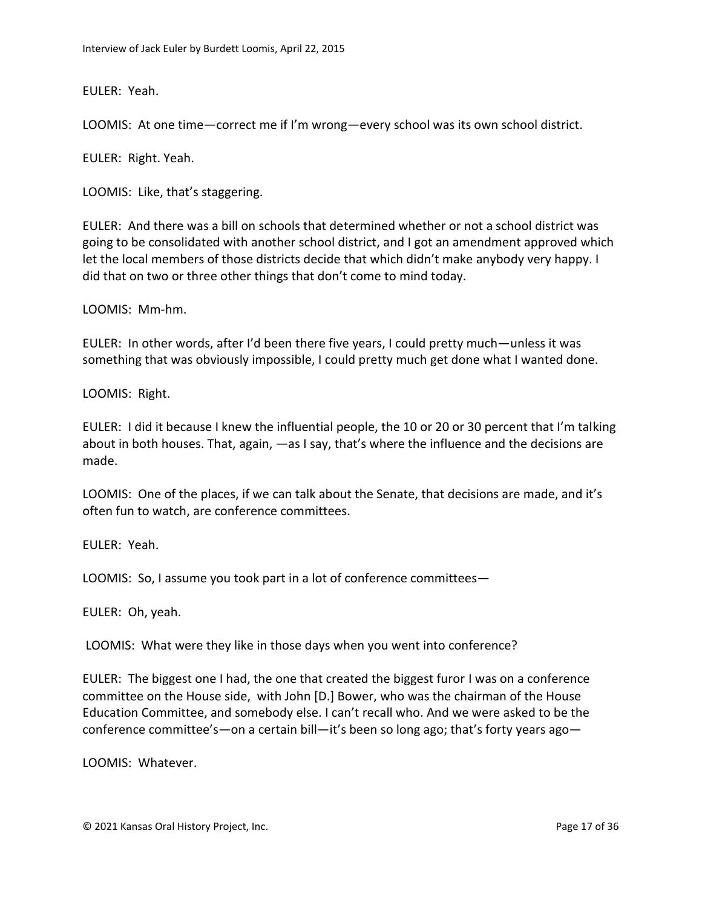EULER: Yeah.

LOOMIS: At one time—correct me if I'm wrong—every school was its own school district.

EULER: Right. Yeah.

LOOMIS: Like, that's staggering.

EULER: And there was a bill on schools that determined whether or not a school district was going to be consolidated with another school district, and I got an amendment approved which let the local members of those districts decide that which didn't make anybody very happy. I did that on two or three other things that don't come to mind today.

LOOMIS: Mm-hm.

EULER: In other words, after I'd been there five years, I could pretty much—unless it was something that was obviously impossible, I could pretty much get done what I wanted done.

LOOMIS: Right.

EULER: I did it because I knew the influential people, the 10 or 20 or 30 percent that I'm talking about in both houses. That, again, —as I say, that's where the influence and the decisions are made.

LOOMIS: One of the places, if we can talk about the Senate, that decisions are made, and it's often fun to watch, are conference committees.

EULER: Yeah.

LOOMIS: So, I assume you took part in a lot of conference committees—

EULER: Oh, yeah.

LOOMIS: What were they like in those days when you went into conference?

EULER: The biggest one I had, the one that created the biggest furor I was on a conference committee on the House side, with John [D.] Bower, who was the chairman of the House Education Committee, and somebody else. I can't recall who. And we were asked to be the conference committee's—on a certain bill—it's been so long ago; that's forty years ago—

LOOMIS: Whatever.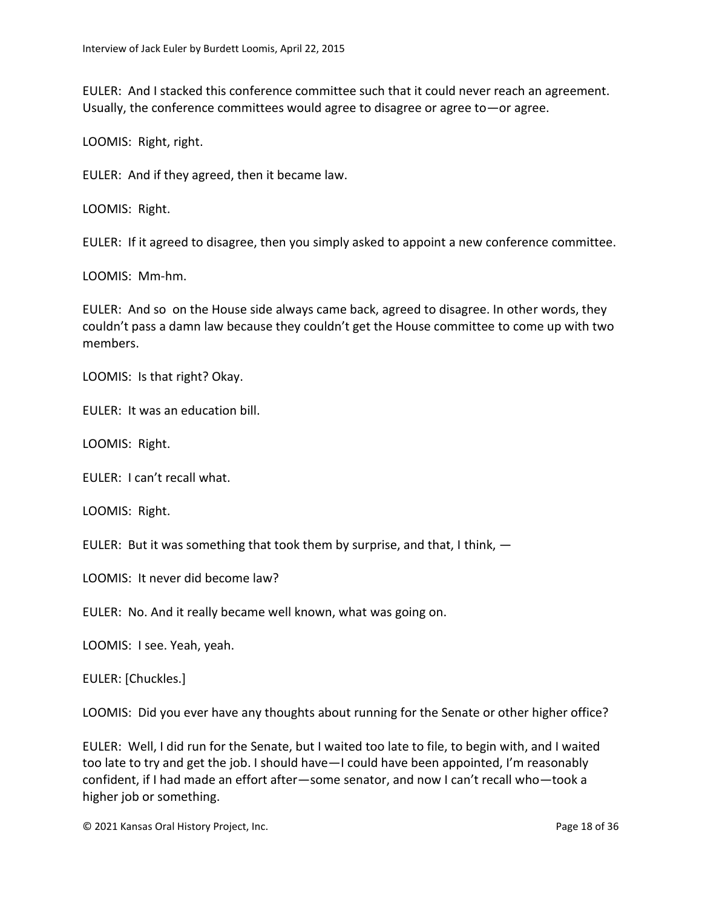EULER: And I stacked this conference committee such that it could never reach an agreement. Usually, the conference committees would agree to disagree or agree to—or agree.

LOOMIS: Right, right.

EULER: And if they agreed, then it became law.

LOOMIS: Right.

EULER: If it agreed to disagree, then you simply asked to appoint a new conference committee.

LOOMIS: Mm-hm.

EULER: And so on the House side always came back, agreed to disagree. In other words, they couldn't pass a damn law because they couldn't get the House committee to come up with two members.

LOOMIS: Is that right? Okay.

EULER: It was an education bill.

LOOMIS: Right.

EULER: I can't recall what.

LOOMIS: Right.

EULER: But it was something that took them by surprise, and that, I think, —

LOOMIS: It never did become law?

EULER: No. And it really became well known, what was going on.

LOOMIS: I see. Yeah, yeah.

EULER: [Chuckles.]

LOOMIS: Did you ever have any thoughts about running for the Senate or other higher office?

EULER: Well, I did run for the Senate, but I waited too late to file, to begin with, and I waited too late to try and get the job. I should have—I could have been appointed, I'm reasonably confident, if I had made an effort after—some senator, and now I can't recall who—took a higher job or something.

© 2021 Kansas Oral History Project, Inc. Page 18 of 36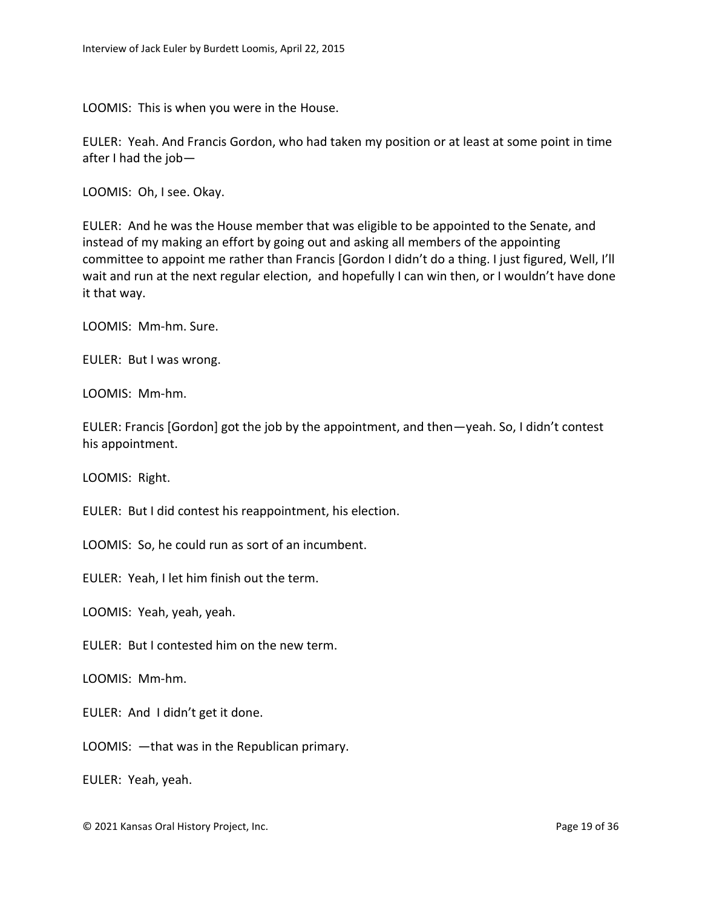LOOMIS: This is when you were in the House.

EULER: Yeah. And Francis Gordon, who had taken my position or at least at some point in time after I had the job—

LOOMIS: Oh, I see. Okay.

EULER: And he was the House member that was eligible to be appointed to the Senate, and instead of my making an effort by going out and asking all members of the appointing committee to appoint me rather than Francis [Gordon I didn't do a thing. I just figured, Well, I'll wait and run at the next regular election, and hopefully I can win then, or I wouldn't have done it that way.

LOOMIS: Mm-hm. Sure.

EULER: But I was wrong.

LOOMIS: Mm-hm.

EULER: Francis [Gordon] got the job by the appointment, and then—yeah. So, I didn't contest his appointment.

LOOMIS: Right.

EULER: But I did contest his reappointment, his election.

LOOMIS: So, he could run as sort of an incumbent.

EULER: Yeah, I let him finish out the term.

LOOMIS: Yeah, yeah, yeah.

EULER: But I contested him on the new term.

LOOMIS: Mm-hm.

EULER: And I didn't get it done.

LOOMIS: —that was in the Republican primary.

EULER: Yeah, yeah.

© 2021 Kansas Oral History Project, Inc. Page 19 of 36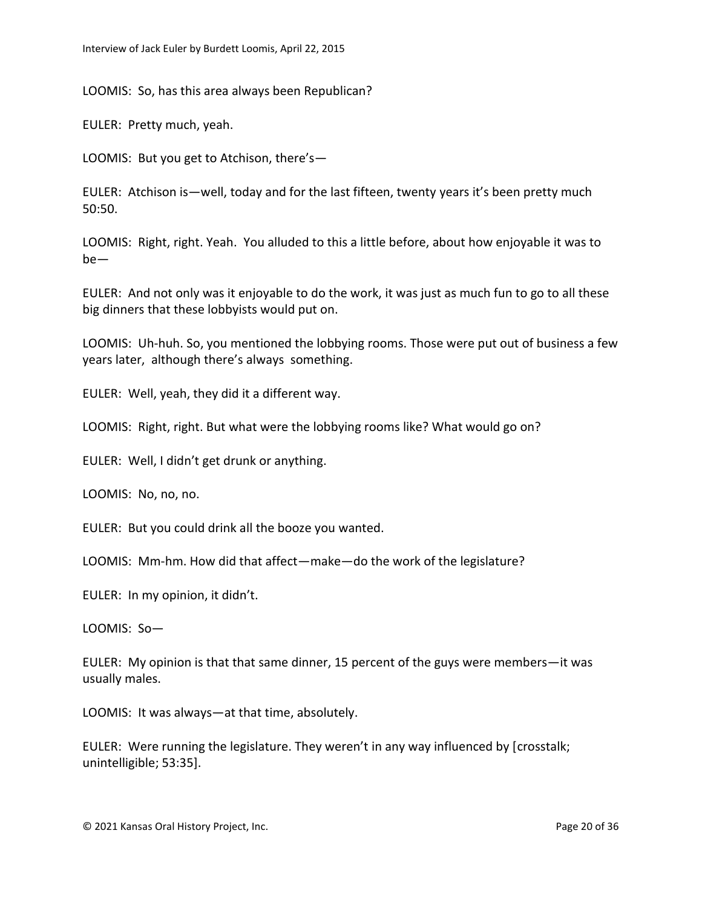LOOMIS: So, has this area always been Republican?

EULER: Pretty much, yeah.

LOOMIS: But you get to Atchison, there's—

EULER: Atchison is—well, today and for the last fifteen, twenty years it's been pretty much 50:50.

LOOMIS: Right, right. Yeah. You alluded to this a little before, about how enjoyable it was to be—

EULER: And not only was it enjoyable to do the work, it was just as much fun to go to all these big dinners that these lobbyists would put on.

LOOMIS: Uh-huh. So, you mentioned the lobbying rooms. Those were put out of business a few years later, although there's always something.

EULER: Well, yeah, they did it a different way.

LOOMIS: Right, right. But what were the lobbying rooms like? What would go on?

EULER: Well, I didn't get drunk or anything.

LOOMIS: No, no, no.

EULER: But you could drink all the booze you wanted.

LOOMIS: Mm-hm. How did that affect—make—do the work of the legislature?

EULER: In my opinion, it didn't.

LOOMIS: So—

EULER: My opinion is that that same dinner, 15 percent of the guys were members—it was usually males.

LOOMIS: It was always—at that time, absolutely.

EULER: Were running the legislature. They weren't in any way influenced by [crosstalk; unintelligible; 53:35].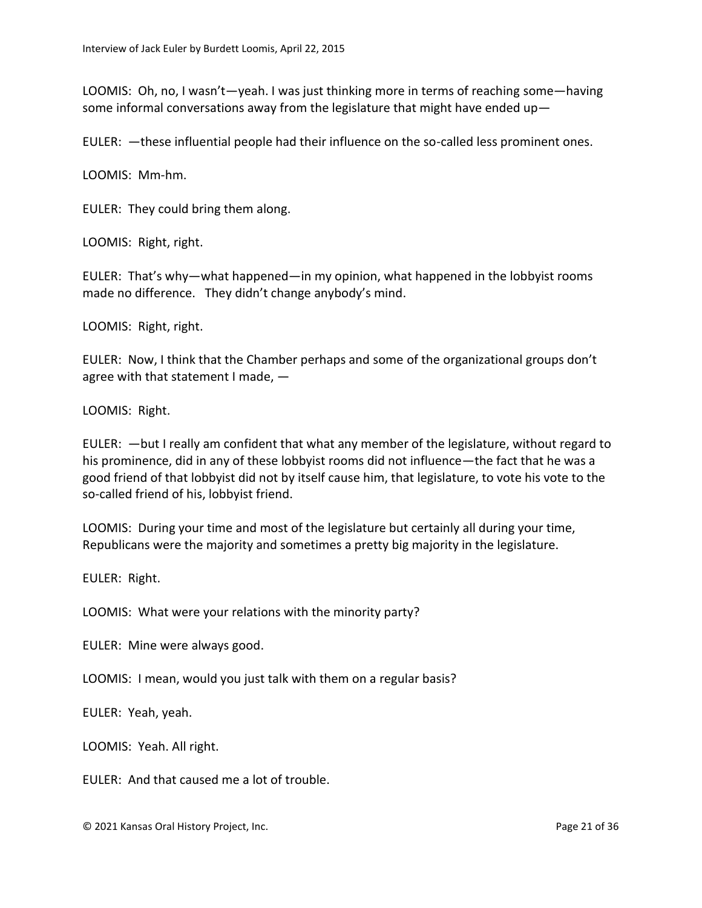LOOMIS: Oh, no, I wasn't—yeah. I was just thinking more in terms of reaching some—having some informal conversations away from the legislature that might have ended up—

EULER: —these influential people had their influence on the so-called less prominent ones.

LOOMIS: Mm-hm.

EULER: They could bring them along.

LOOMIS: Right, right.

EULER: That's why—what happened—in my opinion, what happened in the lobbyist rooms made no difference. They didn't change anybody's mind.

LOOMIS: Right, right.

EULER: Now, I think that the Chamber perhaps and some of the organizational groups don't agree with that statement I made, -

LOOMIS: Right.

EULER: —but I really am confident that what any member of the legislature, without regard to his prominence, did in any of these lobbyist rooms did not influence—the fact that he was a good friend of that lobbyist did not by itself cause him, that legislature, to vote his vote to the so-called friend of his, lobbyist friend.

LOOMIS: During your time and most of the legislature but certainly all during your time, Republicans were the majority and sometimes a pretty big majority in the legislature.

EULER: Right.

LOOMIS: What were your relations with the minority party?

EULER: Mine were always good.

LOOMIS: I mean, would you just talk with them on a regular basis?

EULER: Yeah, yeah.

LOOMIS: Yeah. All right.

EULER: And that caused me a lot of trouble.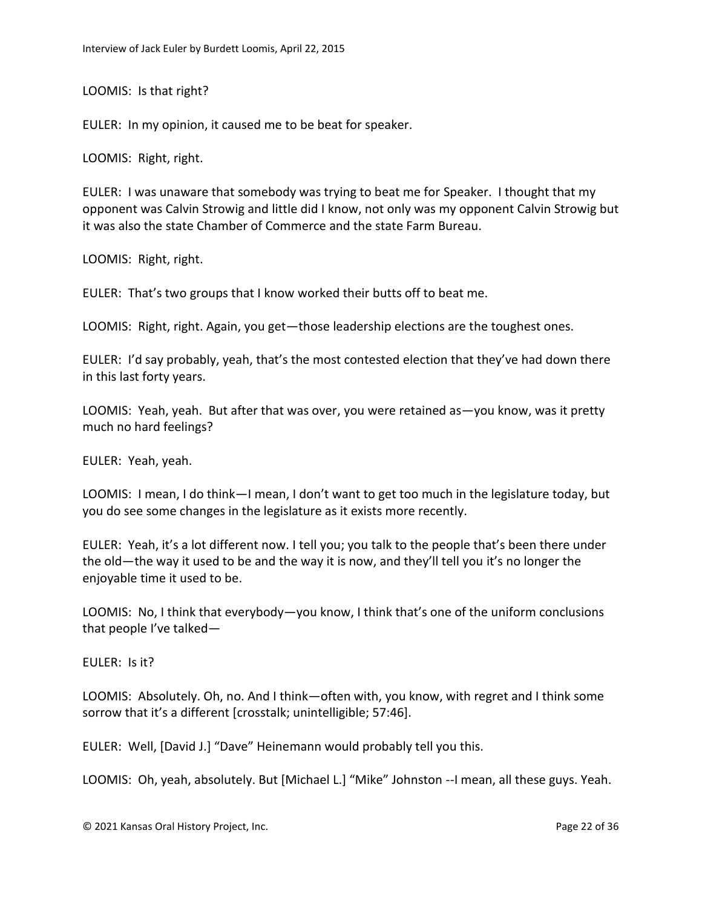LOOMIS: Is that right?

EULER: In my opinion, it caused me to be beat for speaker.

LOOMIS: Right, right.

EULER: I was unaware that somebody was trying to beat me for Speaker. I thought that my opponent was Calvin Strowig and little did I know, not only was my opponent Calvin Strowig but it was also the state Chamber of Commerce and the state Farm Bureau.

LOOMIS: Right, right.

EULER: That's two groups that I know worked their butts off to beat me.

LOOMIS: Right, right. Again, you get—those leadership elections are the toughest ones.

EULER: I'd say probably, yeah, that's the most contested election that they've had down there in this last forty years.

LOOMIS: Yeah, yeah. But after that was over, you were retained as—you know, was it pretty much no hard feelings?

EULER: Yeah, yeah.

LOOMIS: I mean, I do think—I mean, I don't want to get too much in the legislature today, but you do see some changes in the legislature as it exists more recently.

EULER: Yeah, it's a lot different now. I tell you; you talk to the people that's been there under the old—the way it used to be and the way it is now, and they'll tell you it's no longer the enjoyable time it used to be.

LOOMIS: No, I think that everybody—you know, I think that's one of the uniform conclusions that people I've talked—

EULER: Is it?

LOOMIS: Absolutely. Oh, no. And I think—often with, you know, with regret and I think some sorrow that it's a different [crosstalk; unintelligible; 57:46].

EULER: Well, [David J.] "Dave" Heinemann would probably tell you this.

LOOMIS: Oh, yeah, absolutely. But [Michael L.] "Mike" Johnston --I mean, all these guys. Yeah.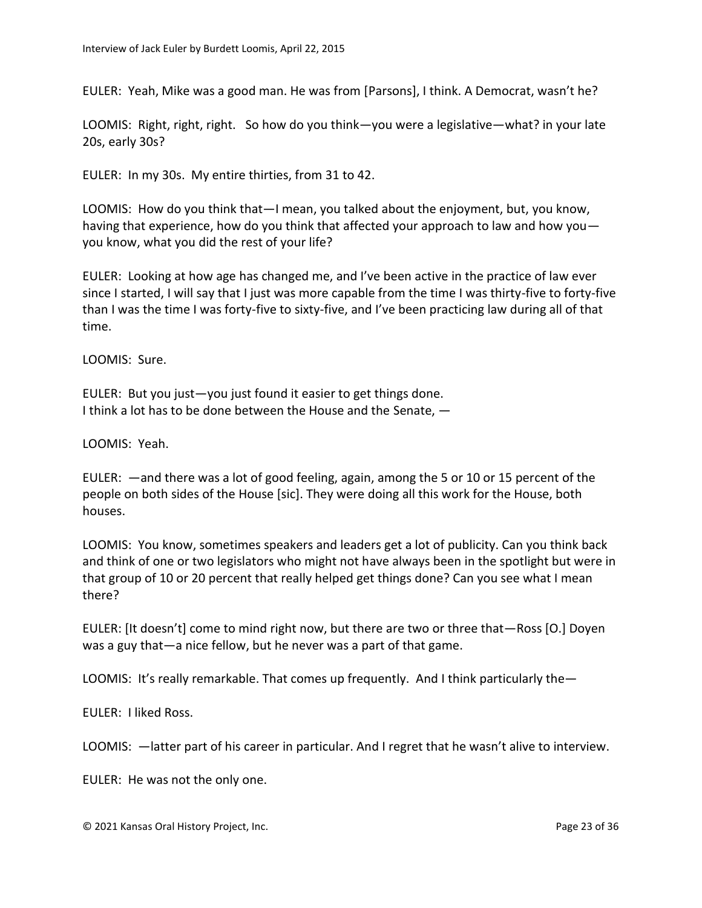EULER: Yeah, Mike was a good man. He was from [Parsons], I think. A Democrat, wasn't he?

LOOMIS: Right, right, right. So how do you think—you were a legislative—what? in your late 20s, early 30s?

EULER: In my 30s. My entire thirties, from 31 to 42.

LOOMIS: How do you think that—I mean, you talked about the enjoyment, but, you know, having that experience, how do you think that affected your approach to law and how you you know, what you did the rest of your life?

EULER: Looking at how age has changed me, and I've been active in the practice of law ever since I started, I will say that I just was more capable from the time I was thirty-five to forty-five than I was the time I was forty-five to sixty-five, and I've been practicing law during all of that time.

LOOMIS: Sure.

EULER: But you just—you just found it easier to get things done. I think a lot has to be done between the House and the Senate, —

LOOMIS: Yeah.

EULER: —and there was a lot of good feeling, again, among the 5 or 10 or 15 percent of the people on both sides of the House [sic]. They were doing all this work for the House, both houses.

LOOMIS: You know, sometimes speakers and leaders get a lot of publicity. Can you think back and think of one or two legislators who might not have always been in the spotlight but were in that group of 10 or 20 percent that really helped get things done? Can you see what I mean there?

EULER: [It doesn't] come to mind right now, but there are two or three that—Ross [O.] Doyen was a guy that—a nice fellow, but he never was a part of that game.

LOOMIS: It's really remarkable. That comes up frequently. And I think particularly the -

EULER: I liked Ross.

LOOMIS: —latter part of his career in particular. And I regret that he wasn't alive to interview.

EULER: He was not the only one.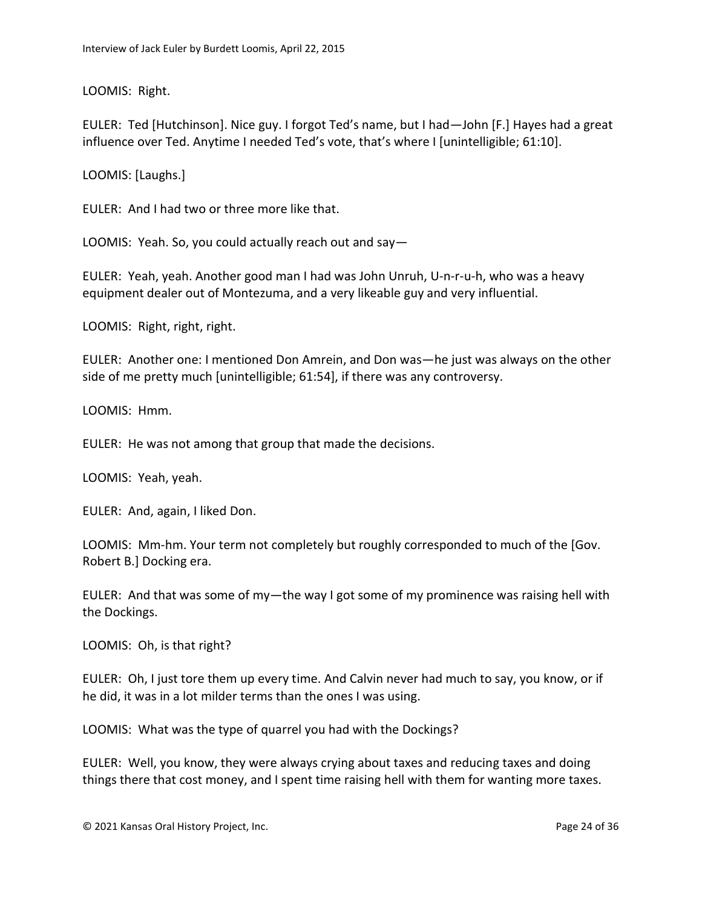LOOMIS: Right.

EULER: Ted [Hutchinson]. Nice guy. I forgot Ted's name, but I had—John [F.] Hayes had a great influence over Ted. Anytime I needed Ted's vote, that's where I [unintelligible; 61:10].

LOOMIS: [Laughs.]

EULER: And I had two or three more like that.

LOOMIS: Yeah. So, you could actually reach out and say—

EULER: Yeah, yeah. Another good man I had was John Unruh, U-n-r-u-h, who was a heavy equipment dealer out of Montezuma, and a very likeable guy and very influential.

LOOMIS: Right, right, right.

EULER: Another one: I mentioned Don Amrein, and Don was—he just was always on the other side of me pretty much [unintelligible; 61:54], if there was any controversy.

LOOMIS: Hmm.

EULER: He was not among that group that made the decisions.

LOOMIS: Yeah, yeah.

EULER: And, again, I liked Don.

LOOMIS: Mm-hm. Your term not completely but roughly corresponded to much of the [Gov. Robert B.] Docking era.

EULER: And that was some of my—the way I got some of my prominence was raising hell with the Dockings.

LOOMIS: Oh, is that right?

EULER: Oh, I just tore them up every time. And Calvin never had much to say, you know, or if he did, it was in a lot milder terms than the ones I was using.

LOOMIS: What was the type of quarrel you had with the Dockings?

EULER: Well, you know, they were always crying about taxes and reducing taxes and doing things there that cost money, and I spent time raising hell with them for wanting more taxes.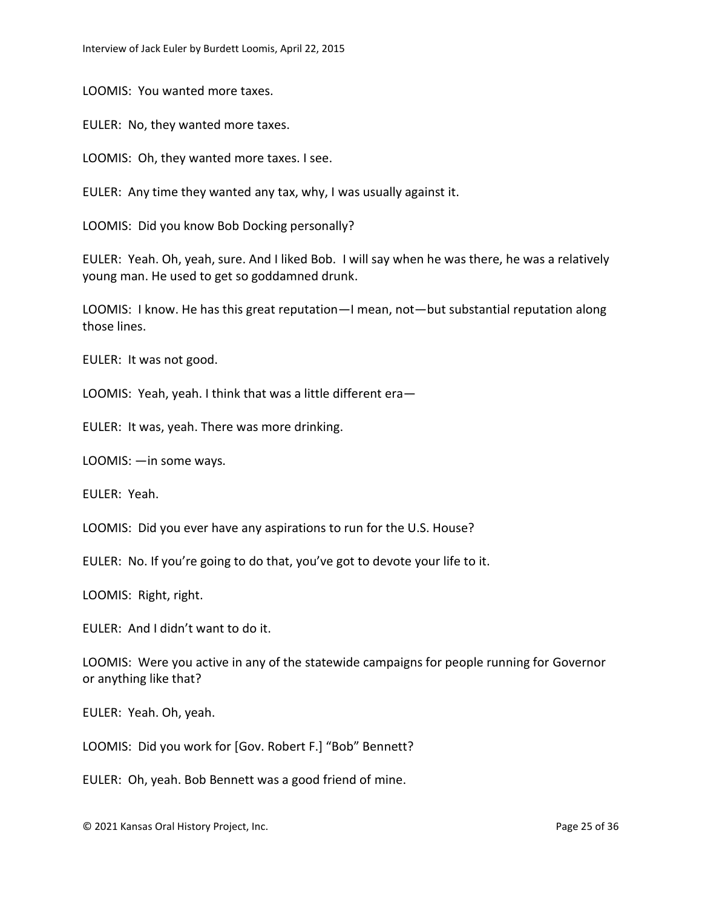LOOMIS: You wanted more taxes.

EULER: No, they wanted more taxes.

LOOMIS: Oh, they wanted more taxes. I see.

EULER: Any time they wanted any tax, why, I was usually against it.

LOOMIS: Did you know Bob Docking personally?

EULER: Yeah. Oh, yeah, sure. And I liked Bob. I will say when he was there, he was a relatively young man. He used to get so goddamned drunk.

LOOMIS: I know. He has this great reputation—I mean, not—but substantial reputation along those lines.

EULER: It was not good.

LOOMIS: Yeah, yeah. I think that was a little different era—

EULER: It was, yeah. There was more drinking.

LOOMIS: —in some ways.

EULER: Yeah.

LOOMIS: Did you ever have any aspirations to run for the U.S. House?

EULER: No. If you're going to do that, you've got to devote your life to it.

LOOMIS: Right, right.

EULER: And I didn't want to do it.

LOOMIS: Were you active in any of the statewide campaigns for people running for Governor or anything like that?

EULER: Yeah. Oh, yeah.

LOOMIS: Did you work for [Gov. Robert F.] "Bob" Bennett?

EULER: Oh, yeah. Bob Bennett was a good friend of mine.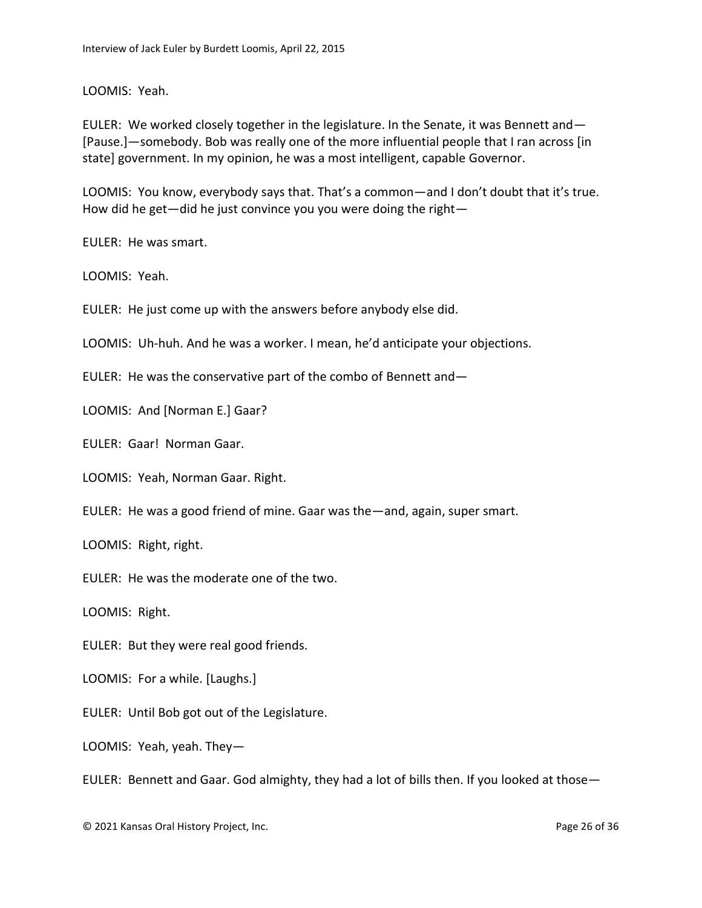LOOMIS: Yeah.

EULER: We worked closely together in the legislature. In the Senate, it was Bennett and— [Pause.]—somebody. Bob was really one of the more influential people that I ran across [in state] government. In my opinion, he was a most intelligent, capable Governor.

LOOMIS: You know, everybody says that. That's a common—and I don't doubt that it's true. How did he get—did he just convince you you were doing the right—

EULER: He was smart.

LOOMIS: Yeah.

EULER: He just come up with the answers before anybody else did.

LOOMIS: Uh-huh. And he was a worker. I mean, he'd anticipate your objections.

EULER: He was the conservative part of the combo of Bennett and—

LOOMIS: And [Norman E.] Gaar?

EULER: Gaar! Norman Gaar.

LOOMIS: Yeah, Norman Gaar. Right.

EULER: He was a good friend of mine. Gaar was the—and, again, super smart.

LOOMIS: Right, right.

EULER: He was the moderate one of the two.

LOOMIS: Right.

EULER: But they were real good friends.

LOOMIS: For a while. [Laughs.]

EULER: Until Bob got out of the Legislature.

LOOMIS: Yeah, yeah. They—

EULER: Bennett and Gaar. God almighty, they had a lot of bills then. If you looked at those—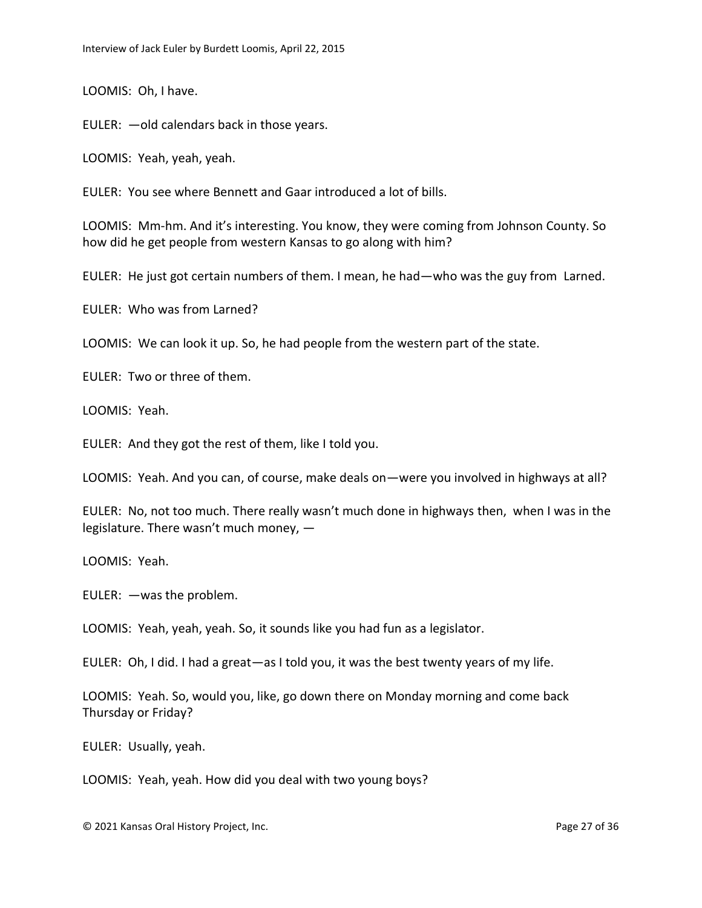LOOMIS: Oh, I have.

EULER: —old calendars back in those years.

LOOMIS: Yeah, yeah, yeah.

EULER: You see where Bennett and Gaar introduced a lot of bills.

LOOMIS: Mm-hm. And it's interesting. You know, they were coming from Johnson County. So how did he get people from western Kansas to go along with him?

EULER: He just got certain numbers of them. I mean, he had—who was the guy from Larned.

EULER: Who was from Larned?

LOOMIS: We can look it up. So, he had people from the western part of the state.

EULER: Two or three of them.

LOOMIS: Yeah.

EULER: And they got the rest of them, like I told you.

LOOMIS: Yeah. And you can, of course, make deals on—were you involved in highways at all?

EULER: No, not too much. There really wasn't much done in highways then, when I was in the legislature. There wasn't much money, —

LOOMIS: Yeah.

EULER: —was the problem.

LOOMIS: Yeah, yeah, yeah. So, it sounds like you had fun as a legislator.

EULER: Oh, I did. I had a great—as I told you, it was the best twenty years of my life.

LOOMIS: Yeah. So, would you, like, go down there on Monday morning and come back Thursday or Friday?

EULER: Usually, yeah.

LOOMIS: Yeah, yeah. How did you deal with two young boys?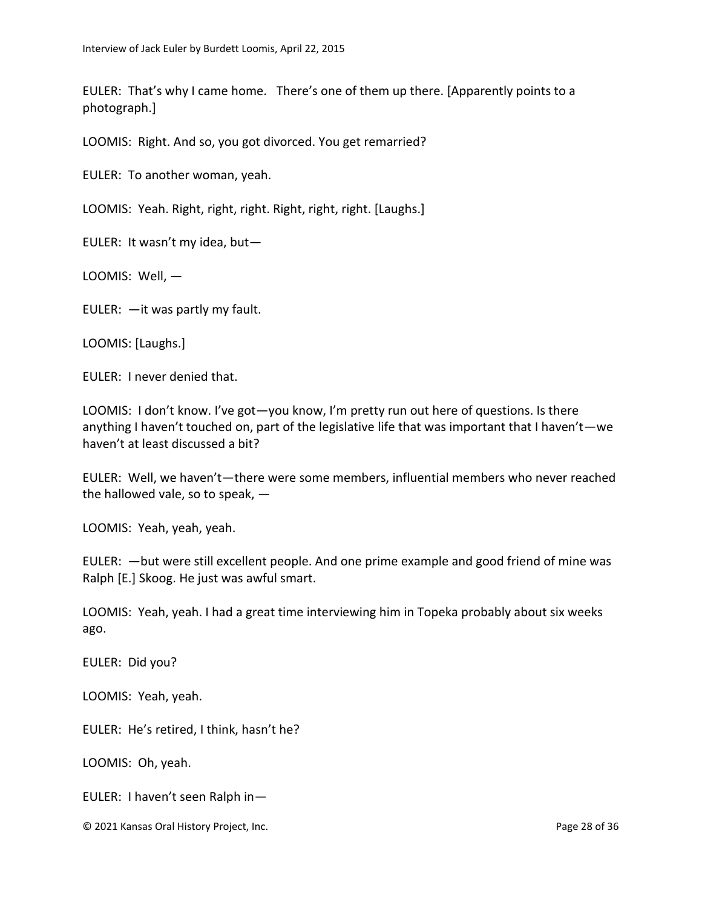EULER: That's why I came home. There's one of them up there. [Apparently points to a photograph.]

LOOMIS: Right. And so, you got divorced. You get remarried?

EULER: To another woman, yeah.

LOOMIS: Yeah. Right, right, right. Right, right, right. [Laughs.]

EULER: It wasn't my idea, but—

LOOMIS: Well, —

EULER: —it was partly my fault.

LOOMIS: [Laughs.]

EULER: I never denied that.

LOOMIS: I don't know. I've got—you know, I'm pretty run out here of questions. Is there anything I haven't touched on, part of the legislative life that was important that I haven't—we haven't at least discussed a bit?

EULER: Well, we haven't—there were some members, influential members who never reached the hallowed vale, so to speak,  $-$ 

LOOMIS: Yeah, yeah, yeah.

EULER: —but were still excellent people. And one prime example and good friend of mine was Ralph [E.] Skoog. He just was awful smart.

LOOMIS: Yeah, yeah. I had a great time interviewing him in Topeka probably about six weeks ago.

EULER: Did you?

LOOMIS: Yeah, yeah.

EULER: He's retired, I think, hasn't he?

LOOMIS: Oh, yeah.

EULER: I haven't seen Ralph in—

© 2021 Kansas Oral History Project, Inc. Page 28 of 36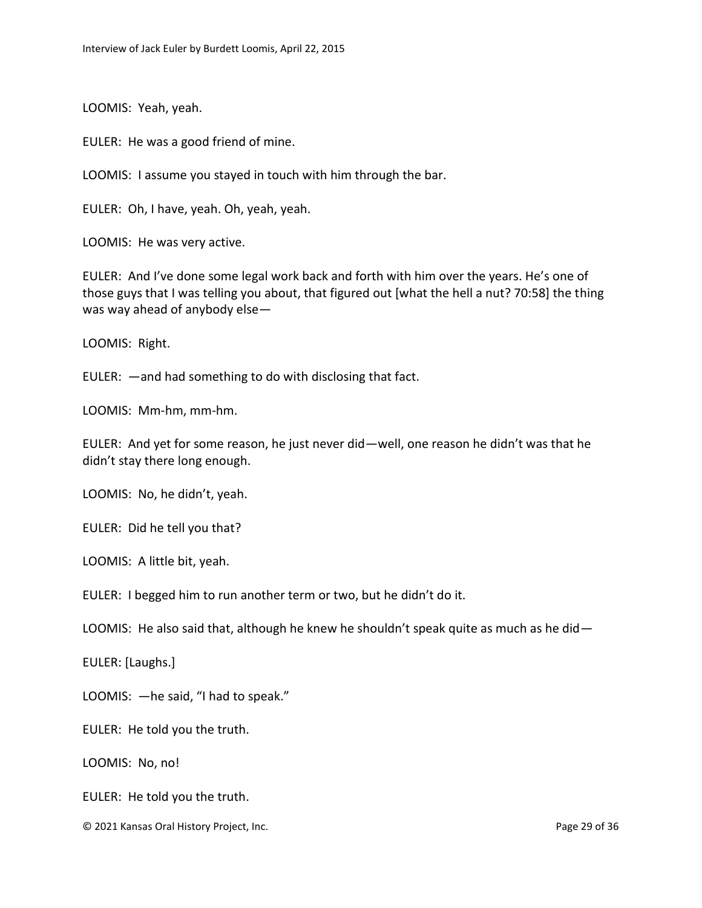LOOMIS: Yeah, yeah.

EULER: He was a good friend of mine.

LOOMIS: I assume you stayed in touch with him through the bar.

EULER: Oh, I have, yeah. Oh, yeah, yeah.

LOOMIS: He was very active.

EULER: And I've done some legal work back and forth with him over the years. He's one of those guys that I was telling you about, that figured out [what the hell a nut? 70:58] the thing was way ahead of anybody else—

LOOMIS: Right.

EULER: —and had something to do with disclosing that fact.

LOOMIS: Mm-hm, mm-hm.

EULER: And yet for some reason, he just never did—well, one reason he didn't was that he didn't stay there long enough.

LOOMIS: No, he didn't, yeah.

EULER: Did he tell you that?

LOOMIS: A little bit, yeah.

EULER: I begged him to run another term or two, but he didn't do it.

LOOMIS: He also said that, although he knew he shouldn't speak quite as much as he did  $-$ 

EULER: [Laughs.]

LOOMIS: —he said, "I had to speak."

EULER: He told you the truth.

LOOMIS: No, no!

EULER: He told you the truth.

© 2021 Kansas Oral History Project, Inc. Page 29 of 36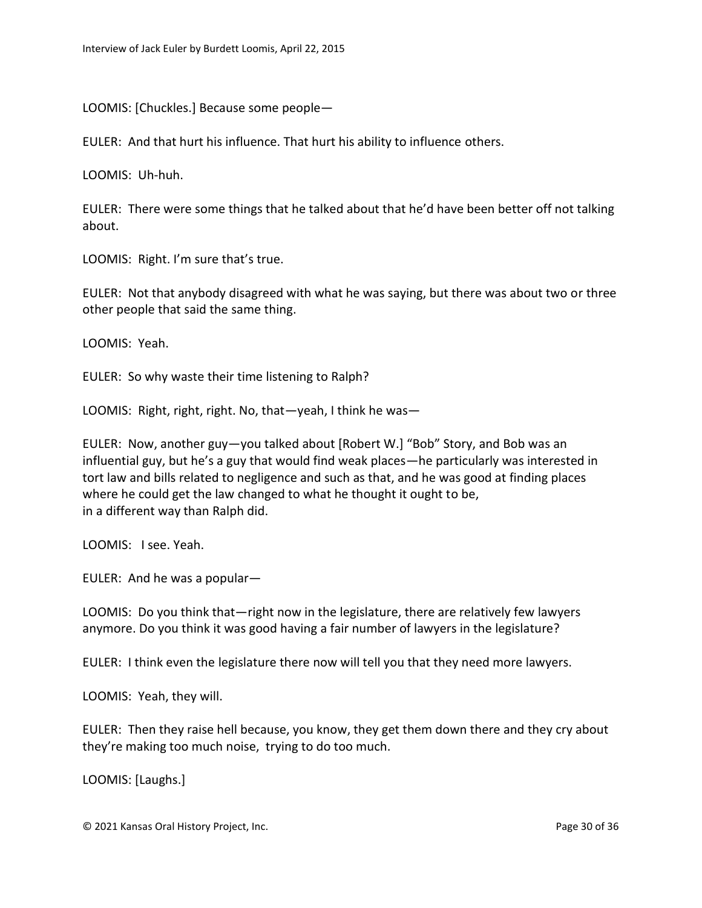LOOMIS: [Chuckles.] Because some people—

EULER: And that hurt his influence. That hurt his ability to influence others.

LOOMIS: Uh-huh.

EULER: There were some things that he talked about that he'd have been better off not talking about.

LOOMIS: Right. I'm sure that's true.

EULER: Not that anybody disagreed with what he was saying, but there was about two or three other people that said the same thing.

LOOMIS: Yeah.

EULER: So why waste their time listening to Ralph?

LOOMIS: Right, right, right. No, that—yeah, I think he was—

EULER: Now, another guy—you talked about [Robert W.] "Bob" Story, and Bob was an influential guy, but he's a guy that would find weak places—he particularly was interested in tort law and bills related to negligence and such as that, and he was good at finding places where he could get the law changed to what he thought it ought to be, in a different way than Ralph did.

LOOMIS: I see. Yeah.

EULER: And he was a popular—

LOOMIS: Do you think that—right now in the legislature, there are relatively few lawyers anymore. Do you think it was good having a fair number of lawyers in the legislature?

EULER: I think even the legislature there now will tell you that they need more lawyers.

LOOMIS: Yeah, they will.

EULER: Then they raise hell because, you know, they get them down there and they cry about they're making too much noise, trying to do too much.

LOOMIS: [Laughs.]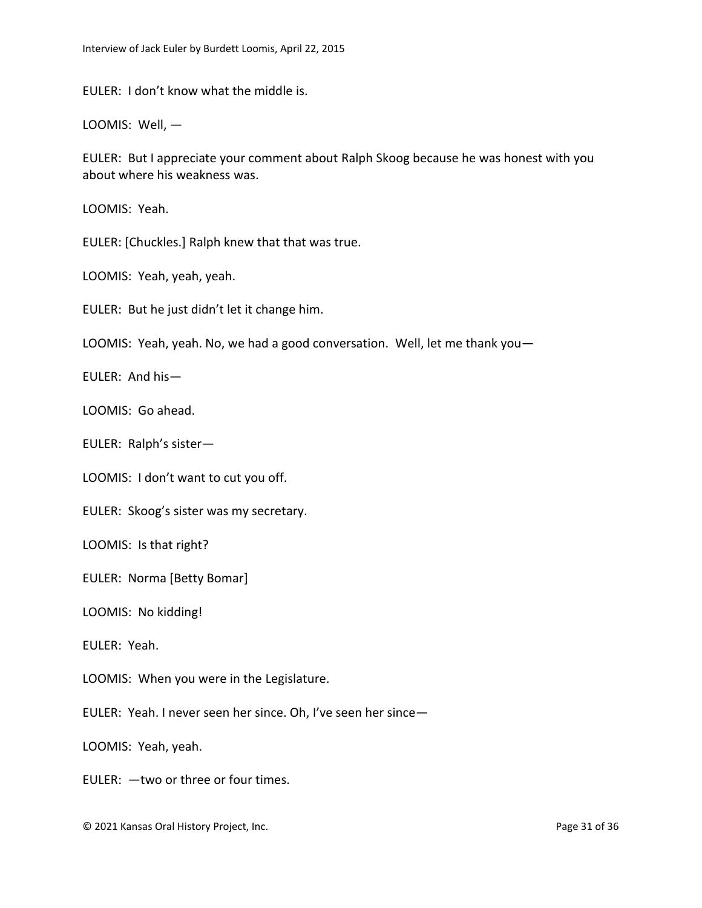EULER: I don't know what the middle is.

LOOMIS: Well, —

EULER: But I appreciate your comment about Ralph Skoog because he was honest with you about where his weakness was.

LOOMIS: Yeah.

EULER: [Chuckles.] Ralph knew that that was true.

LOOMIS: Yeah, yeah, yeah.

EULER: But he just didn't let it change him.

LOOMIS: Yeah, yeah. No, we had a good conversation. Well, let me thank you—

EULER: And his—

LOOMIS: Go ahead.

EULER: Ralph's sister—

LOOMIS: I don't want to cut you off.

EULER: Skoog's sister was my secretary.

LOOMIS: Is that right?

EULER: Norma [Betty Bomar]

LOOMIS: No kidding!

EULER: Yeah.

LOOMIS: When you were in the Legislature.

EULER: Yeah. I never seen her since. Oh, I've seen her since—

LOOMIS: Yeah, yeah.

EULER: —two or three or four times.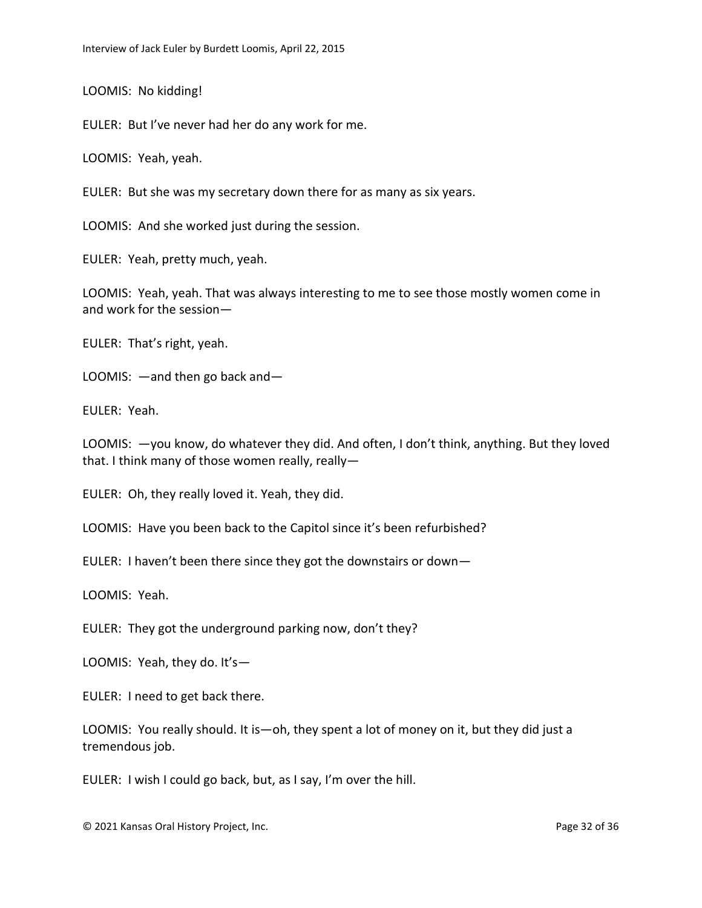LOOMIS: No kidding!

EULER: But I've never had her do any work for me.

LOOMIS: Yeah, yeah.

EULER: But she was my secretary down there for as many as six years.

LOOMIS: And she worked just during the session.

EULER: Yeah, pretty much, yeah.

LOOMIS: Yeah, yeah. That was always interesting to me to see those mostly women come in and work for the session—

EULER: That's right, yeah.

LOOMIS: —and then go back and—

EULER: Yeah.

LOOMIS: —you know, do whatever they did. And often, I don't think, anything. But they loved that. I think many of those women really, really—

EULER: Oh, they really loved it. Yeah, they did.

LOOMIS: Have you been back to the Capitol since it's been refurbished?

EULER: I haven't been there since they got the downstairs or down—

LOOMIS: Yeah.

EULER: They got the underground parking now, don't they?

LOOMIS: Yeah, they do. It's—

EULER: I need to get back there.

LOOMIS: You really should. It is—oh, they spent a lot of money on it, but they did just a tremendous job.

EULER: I wish I could go back, but, as I say, I'm over the hill.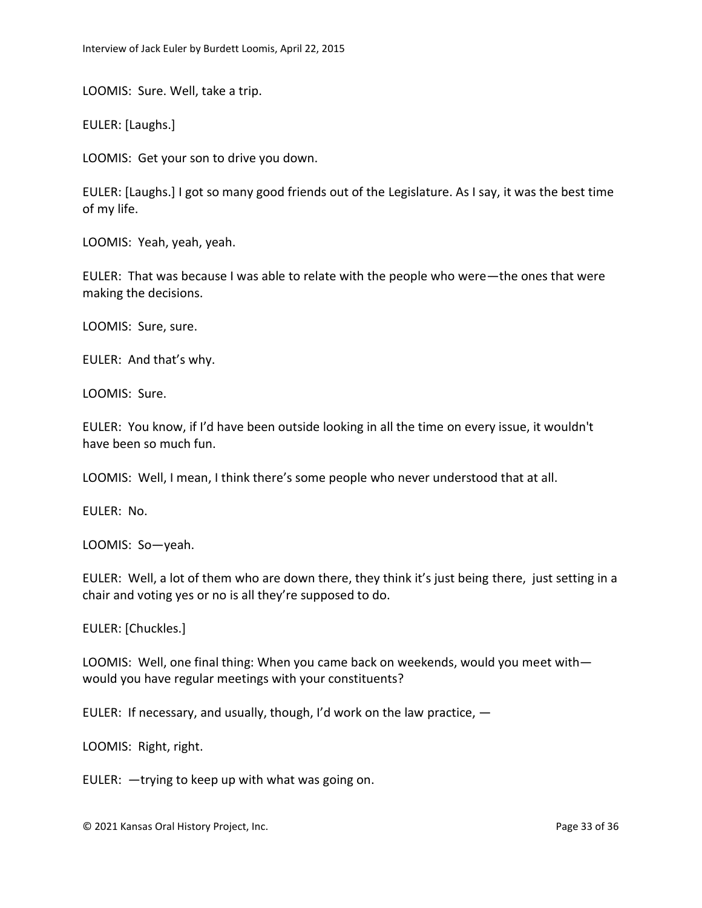LOOMIS: Sure. Well, take a trip.

EULER: [Laughs.]

LOOMIS: Get your son to drive you down.

EULER: [Laughs.] I got so many good friends out of the Legislature. As I say, it was the best time of my life.

LOOMIS: Yeah, yeah, yeah.

EULER: That was because I was able to relate with the people who were—the ones that were making the decisions.

LOOMIS: Sure, sure.

EULER: And that's why.

LOOMIS: Sure.

EULER: You know, if I'd have been outside looking in all the time on every issue, it wouldn't have been so much fun.

LOOMIS: Well, I mean, I think there's some people who never understood that at all.

EULER: No.

LOOMIS: So—yeah.

EULER: Well, a lot of them who are down there, they think it's just being there, just setting in a chair and voting yes or no is all they're supposed to do.

EULER: [Chuckles.]

LOOMIS: Well, one final thing: When you came back on weekends, would you meet with would you have regular meetings with your constituents?

EULER: If necessary, and usually, though, I'd work on the law practice, —

LOOMIS: Right, right.

EULER: —trying to keep up with what was going on.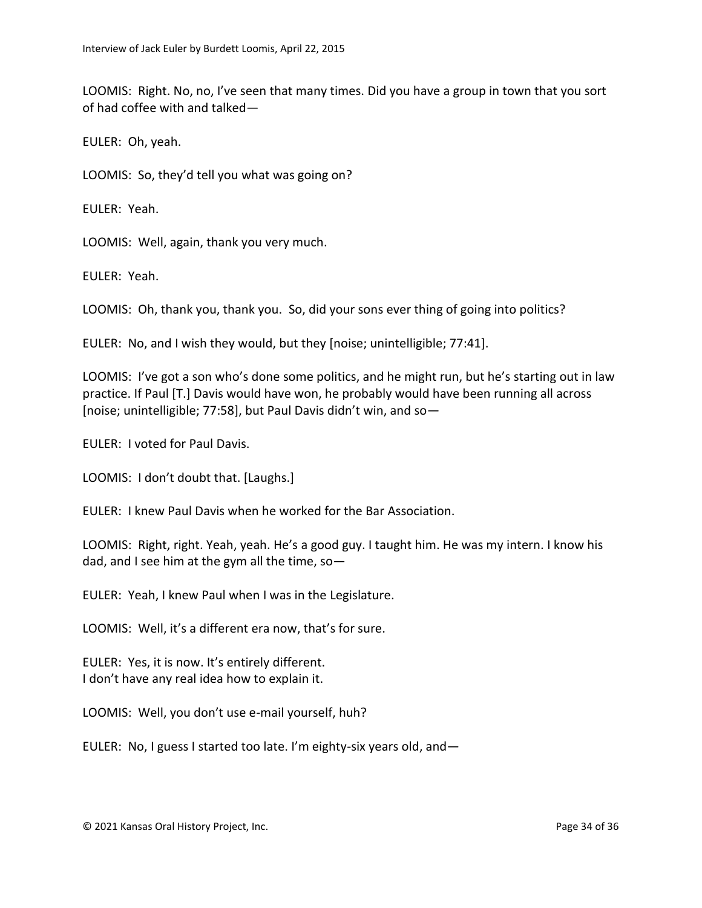LOOMIS: Right. No, no, I've seen that many times. Did you have a group in town that you sort of had coffee with and talked—

EULER: Oh, yeah.

LOOMIS: So, they'd tell you what was going on?

EULER: Yeah.

LOOMIS: Well, again, thank you very much.

EULER: Yeah.

LOOMIS: Oh, thank you, thank you. So, did your sons ever thing of going into politics?

EULER: No, and I wish they would, but they [noise; unintelligible; 77:41].

LOOMIS: I've got a son who's done some politics, and he might run, but he's starting out in law practice. If Paul [T.] Davis would have won, he probably would have been running all across [noise; unintelligible; 77:58], but Paul Davis didn't win, and so—

EULER: I voted for Paul Davis.

LOOMIS: I don't doubt that. [Laughs.]

EULER: I knew Paul Davis when he worked for the Bar Association.

LOOMIS: Right, right. Yeah, yeah. He's a good guy. I taught him. He was my intern. I know his dad, and I see him at the gym all the time, so—

EULER: Yeah, I knew Paul when I was in the Legislature.

LOOMIS: Well, it's a different era now, that's for sure.

EULER: Yes, it is now. It's entirely different. I don't have any real idea how to explain it.

LOOMIS: Well, you don't use e-mail yourself, huh?

EULER: No, I guess I started too late. I'm eighty-six years old, and—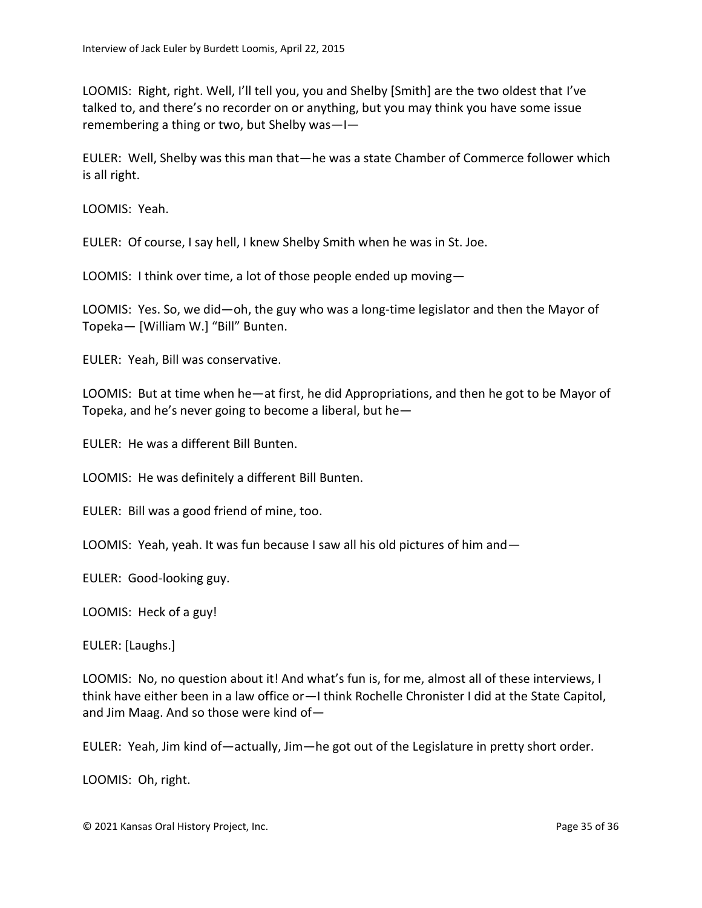LOOMIS: Right, right. Well, I'll tell you, you and Shelby [Smith] are the two oldest that I've talked to, and there's no recorder on or anything, but you may think you have some issue remembering a thing or two, but Shelby was—I—

EULER: Well, Shelby was this man that—he was a state Chamber of Commerce follower which is all right.

LOOMIS: Yeah.

EULER: Of course, I say hell, I knew Shelby Smith when he was in St. Joe.

LOOMIS: I think over time, a lot of those people ended up moving—

LOOMIS: Yes. So, we did—oh, the guy who was a long-time legislator and then the Mayor of Topeka— [William W.] "Bill" Bunten.

EULER: Yeah, Bill was conservative.

LOOMIS: But at time when he—at first, he did Appropriations, and then he got to be Mayor of Topeka, and he's never going to become a liberal, but he—

EULER: He was a different Bill Bunten.

LOOMIS: He was definitely a different Bill Bunten.

EULER: Bill was a good friend of mine, too.

LOOMIS: Yeah, yeah. It was fun because I saw all his old pictures of him and—

EULER: Good-looking guy.

LOOMIS: Heck of a guy!

EULER: [Laughs.]

LOOMIS: No, no question about it! And what's fun is, for me, almost all of these interviews, I think have either been in a law office or—I think Rochelle Chronister I did at the State Capitol, and Jim Maag. And so those were kind of—

EULER: Yeah, Jim kind of—actually, Jim—he got out of the Legislature in pretty short order.

LOOMIS: Oh, right.